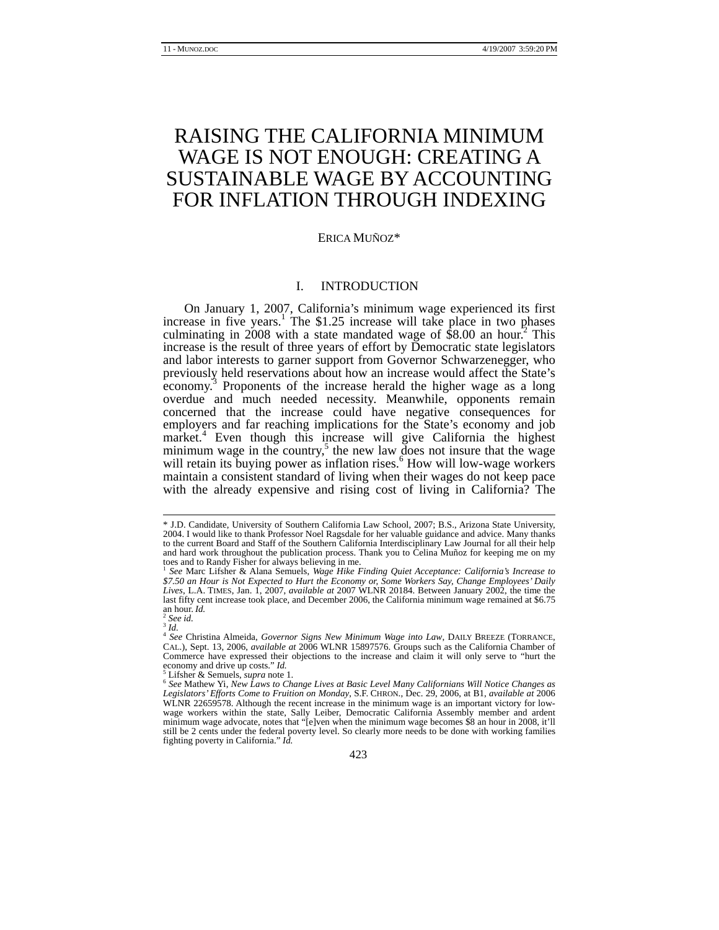# RAISING THE CALIFORNIA MINIMUM WAGE IS NOT ENOUGH: CREATING A SUSTAINABLE WAGE BY ACCOUNTING FOR INFLATION THROUGH INDEXING

#### ERICA MUÑOZ\*

# I. INTRODUCTION

On January 1, 2007, California's minimum wage experienced its first increase in five years.<sup>1</sup> The \$1.25 increase will take place in two phases culminating in  $2008$  with a state mandated wage of \$8.00 an hour.<sup>2</sup> This increase is the result of three years of effort by Democratic state legislators and labor interests to garner support from Governor Schwarzenegger, who previously held reservations about how an increase would affect the State's economy.<sup>3</sup> Proponents of the increase herald the higher wage as a long overdue and much needed necessity. Meanwhile, opponents remain concerned that the increase could have negative consequences for employers and far reaching implications for the State's economy and job market.<sup>4</sup> Even though this increase will give California the highest minimum wage in the country,<sup>5</sup> the new law does not insure that the wage will retain its buying power as inflation rises.<sup>6</sup> How will low-wage workers maintain a consistent standard of living when their wages do not keep pace with the already expensive and rising cost of living in California? The

 <sup>\*</sup> J.D. Candidate, University of Southern California Law School, 2007; B.S., Arizona State University, 2004. I would like to thank Professor Noel Ragsdale for her valuable guidance and advice. Many thanks to the current Board and Staff of the Southern California Interdisciplinary Law Journal for all their help and hard work throughout the publication process. Thank you to Celina Muñoz for keeping me on my toes and to Randy Fisher for always believing in me.

<sup>1</sup> *See* Marc Lifsher & Alana Semuels, *Wage Hike Finding Quiet Acceptance: California's Increase to \$7.50 an Hour is Not Expected to Hurt the Economy or, Some Workers Say, Change Employees' Daily Lives*, L.A. TIMES, Jan. 1, 2007, *available at* 2007 WLNR 20184. Between January 2002, the time the last fifty cent increase took place, and December 2006, the California minimum wage remained at \$6.75 and hour. *Id.* 

and *Id.*<br><sup>3</sup> *Id.*<br>4 *See* Christina Almeida, *Governor Signs New Minimum Wage into Law*, DAILY BREEZE (TORRANCE, <sup>4</sup> *See* Christina Almeida, *Covernor Signs New MI* IS897576 Groups such as the California Chamber of CAL.), Sept. 13, 2006, *available at* 2006 WLNR 15897576. Groups such as the California Chamber of Commerce have expressed their objections to the increase and claim it will only serve to "hurt the economy and drive up costs." *Id.*<br><sup>5</sup> Lifsher & Semuels, *supra* note 1.

Lifsher & Semuels, *supra* note 1. 6 *See* Mathew Yi, *New Laws to Change Lives at Basic Level Many Californians Will Notice Changes as Legislators' Efforts Come to Fruition on Monday*, S.F. CHRON., Dec. 29, 2006, at B1, *available at* 2006 WLNR 22659578. Although the recent increase in the minimum wage is an important victory for lowwage workers within the state, Sally Leiber, Democratic California Assembly member and ardent minimum wage advocate, notes that "[e]ven when the minimum wage becomes \$8 an hour in 2008, it'll still be 2 cents under the federal poverty level. So clearly more needs to be done with working families fighting poverty in California." *Id.*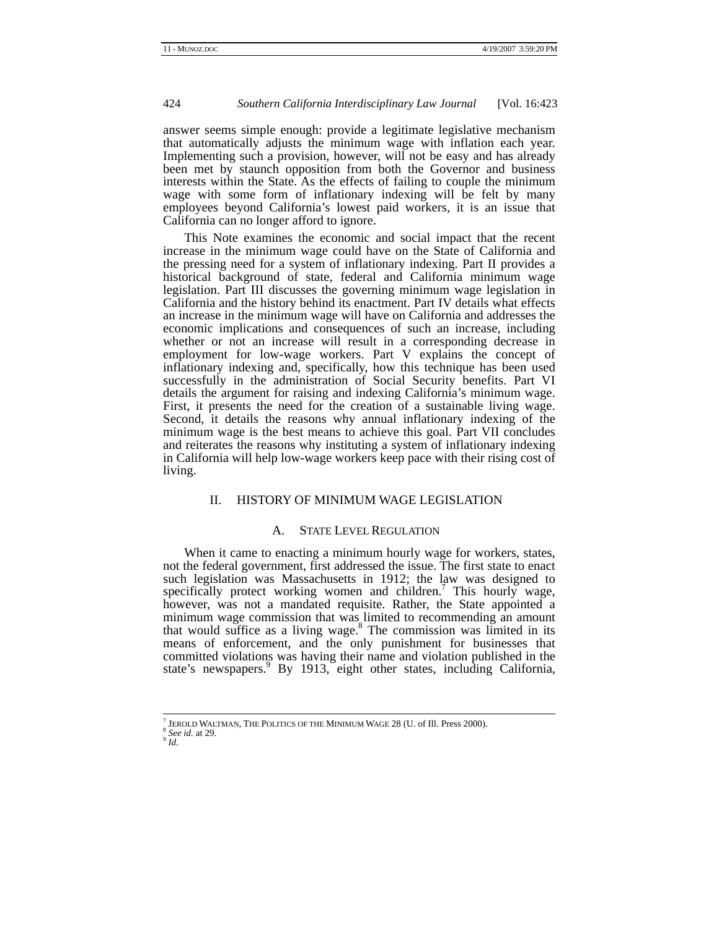answer seems simple enough: provide a legitimate legislative mechanism that automatically adjusts the minimum wage with inflation each year. Implementing such a provision, however, will not be easy and has already been met by staunch opposition from both the Governor and business interests within the State. As the effects of failing to couple the minimum wage with some form of inflationary indexing will be felt by many employees beyond California's lowest paid workers, it is an issue that California can no longer afford to ignore.

This Note examines the economic and social impact that the recent increase in the minimum wage could have on the State of California and the pressing need for a system of inflationary indexing. Part II provides a historical background of state, federal and California minimum wage legislation. Part III discusses the governing minimum wage legislation in California and the history behind its enactment. Part IV details what effects an increase in the minimum wage will have on California and addresses the economic implications and consequences of such an increase, including whether or not an increase will result in a corresponding decrease in employment for low-wage workers. Part V explains the concept of inflationary indexing and, specifically, how this technique has been used successfully in the administration of Social Security benefits. Part VI details the argument for raising and indexing California's minimum wage. First, it presents the need for the creation of a sustainable living wage. Second, it details the reasons why annual inflationary indexing of the minimum wage is the best means to achieve this goal. Part VII concludes and reiterates the reasons why instituting a system of inflationary indexing in California will help low-wage workers keep pace with their rising cost of living.

# II. HISTORY OF MINIMUM WAGE LEGISLATION

# A. STATE LEVEL REGULATION

When it came to enacting a minimum hourly wage for workers, states, not the federal government, first addressed the issue. The first state to enact such legislation was Massachusetts in 1912; the law was designed to specifically protect working women and children.<sup>7</sup> This hourly wage, however, was not a mandated requisite. Rather, the State appointed a minimum wage commission that was limited to recommending an amount that would suffice as a living wage.<sup>8</sup> The commission was limited in its means of enforcement, and the only punishment for businesses that committed violations was having their name and violation published in the state's newspapers.<sup>9</sup> By 1913, eight other states, including California,

<sup>-&</sup>lt;br>7  $^7$  JEROLD WALTMAN, THE POLITICS OF THE MINIMUM WAGE 28 (U. of Ill. Press 2000).  $^8$  *See id.* at 29.  $^9$   $I\!d$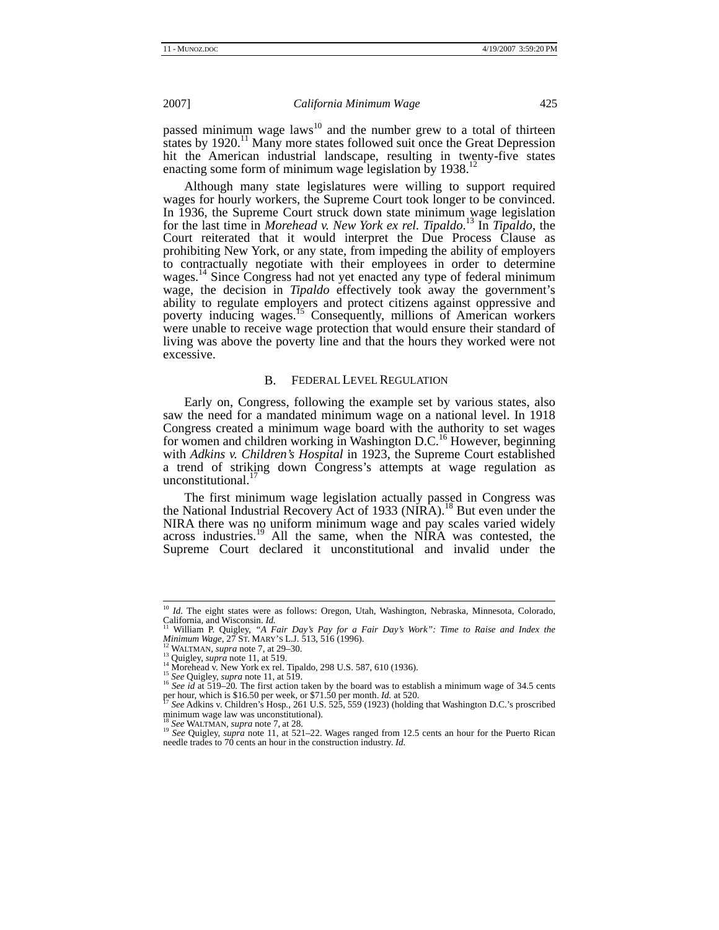passed minimum wage laws $^{10}$  and the number grew to a total of thirteen states by 1920.<sup>11</sup> Many more states followed suit once the Great Depression hit the American industrial landscape, resulting in twenty-five states enacting some form of minimum wage legislation by  $1938$ <sup>1</sup>

Although many state legislatures were willing to support required wages for hourly workers, the Supreme Court took longer to be convinced. In 1936, the Supreme Court struck down state minimum wage legislation for the last time in *Morehead v. New York ex rel. Tipaldo*. 13 In *Tipaldo*, the Court reiterated that it would interpret the Due Process Clause as prohibiting New York, or any state, from impeding the ability of employers to contractually negotiate with their employees in order to determine wages.<sup>14</sup> Since Congress had not yet enacted any type of federal minimum wage, the decision in *Tipaldo* effectively took away the government's ability to regulate employers and protect citizens against oppressive and poverty inducing wages.<sup>15</sup> Consequently, millions of American workers were unable to receive wage protection that would ensure their standard of living was above the poverty line and that the hours they worked were not excessive.

#### B. FEDERAL LEVEL REGULATION

Early on, Congress, following the example set by various states, also saw the need for a mandated minimum wage on a national level. In 1918 Congress created a minimum wage board with the authority to set wages for women and children working in Washington D.C.<sup>16</sup> However, beginning with *Adkins v. Children's Hospital* in 1923, the Supreme Court established a trend of striking down Congress's attempts at wage regulation as unconstitutional.

The first minimum wage legislation actually passed in Congress was the National Industrial Recovery Act of 1933 (NIRA).<sup>18</sup> But even under the NIRA there was no uniform minimum wage and pay scales varied widely across industries.<sup>19</sup> All the same, when the NIRA was contested, the Supreme Court declared it unconstitutional and invalid under the

<sup>&</sup>lt;sup>10</sup> *Id.* The eight states were as follows: Oregon, Utah, Washington, Nebraska, Minnesota, Colorado, California, and Wisconsin. *Id.* 

If William P. Quigley, *"A Fair Day's Pay for a Fair Day's Work": Time to Raise and Index the Minimum Wage*, 27 ST. MARY's L.J. 513, 516 (1996).<br><sup>12</sup> WALTMAN, *supra* note 7, at 29–30. *Minimum Wage*, 27 ST. MARY'S L.J. 513, 516 (1996).<br><sup>13</sup> WALTMAN, *supra* note 7, at 29–30.<br><sup>13</sup> Quigley, *supra* note 11, at 519.<br><sup>14</sup> Morehead v. New York ex rel. Tipaldo, 298 U.S. 587, 610 (1936).<br><sup>14</sup> Morehead v. New

per hour, which is \$16.50 per week, or \$71.50 per month. *Id.* at 520.<br><sup>17</sup> *See* Adkins v. Children's Hosp., 261 U.S. 525, 559 (1923) (holding that Washington D.C.'s proscribed

minimum wage law was unconstitutional).

<sup>&</sup>lt;sup>18</sup> See WALTMAN, *supra* note 7, at 28.<br><sup>19</sup> See Quigley, *supra* note 11, at 521–22. Wages ranged from 12.5 cents an hour for the Puerto Rican needle trades to 70 cents an hour in the construction industry. *Id.*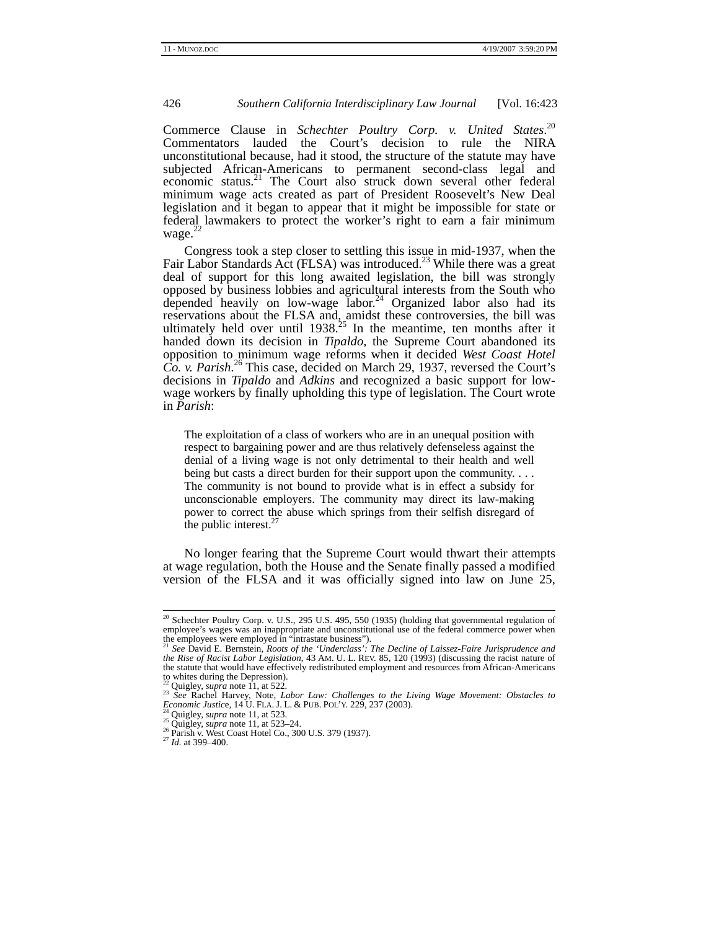Commerce Clause in *Schechter Poultry Corp. v. United States*. 20 Commentators lauded the Court's decision to rule the NIRA unconstitutional because, had it stood, the structure of the statute may have subjected African-Americans to permanent second-class legal and economic status.<sup>21</sup> The Court also struck down several other federal minimum wage acts created as part of President Roosevelt's New Deal legislation and it began to appear that it might be impossible for state or federal lawmakers to protect the worker's right to earn a fair minimum wage. $^{22}$ 

Congress took a step closer to settling this issue in mid-1937, when the Fair Labor Standards Act (FLSA) was introduced.<sup>23</sup> While there was a great deal of support for this long awaited legislation, the bill was strongly opposed by business lobbies and agricultural interests from the South who depended heavily on low-wage  $\overline{\text{labor}}^{24}$  Organized labor also had its reservations about the FLSA and, amidst these controversies, the bill was ultimately held over until  $1938<sup>25</sup>$  In the meantime, ten months after it handed down its decision in *Tipaldo*, the Supreme Court abandoned its opposition to minimum wage reforms when it decided *West Coast Hotel Co. v. Parish*. 26 This case, decided on March 29, 1937, reversed the Court's decisions in *Tipaldo* and *Adkins* and recognized a basic support for lowwage workers by finally upholding this type of legislation. The Court wrote in *Parish*:

The exploitation of a class of workers who are in an unequal position with respect to bargaining power and are thus relatively defenseless against the denial of a living wage is not only detrimental to their health and well being but casts a direct burden for their support upon the community. . . . The community is not bound to provide what is in effect a subsidy for unconscionable employers. The community may direct its law-making power to correct the abuse which springs from their selfish disregard of the public interest. $27$ 

No longer fearing that the Supreme Court would thwart their attempts at wage regulation, both the House and the Senate finally passed a modified version of the FLSA and it was officially signed into law on June 25,

 <sup>20</sup> Schechter Poultry Corp. v. U.S., 295 U.S. 495, 550 (1935) (holding that governmental regulation of employee's wages was an inappropriate and unconstitutional use of the federal commerce power when<br>the employees were employed in "intrastate business").<br><sup>21</sup> See David E. Bernstein, *Roots of the 'Underclass': The Decline* 

*the Rise of Racist Labor Legislation*, 43 AM. U. L. REV. 85, 120 (1993) (discussing the racist nature of the statute that would have effectively redistributed employment and resources from African-Americans to whites during the Depression).

<sup>&</sup>lt;sup>22</sup> Quigley, *supra* note 11, at 522.<br><sup>23</sup> See Rachel Harvey, Note, *Labor Law: Challenges to the Living Wage Movement: Obstacles to Economic Justice*, 14 U. FLA. J. L. & PUB. POL'Y. 229, 237 (2003).<br><sup>24</sup> Quigley, *supra* note 11, at 523.<br><sup>25</sup> Quigley, *supra* note 11, at 523–24.<br><sup>26</sup> Parish v. West Coast Hotel Co., 300 U.S. 379 (1937).<br><sup>27</sup> Id. at 39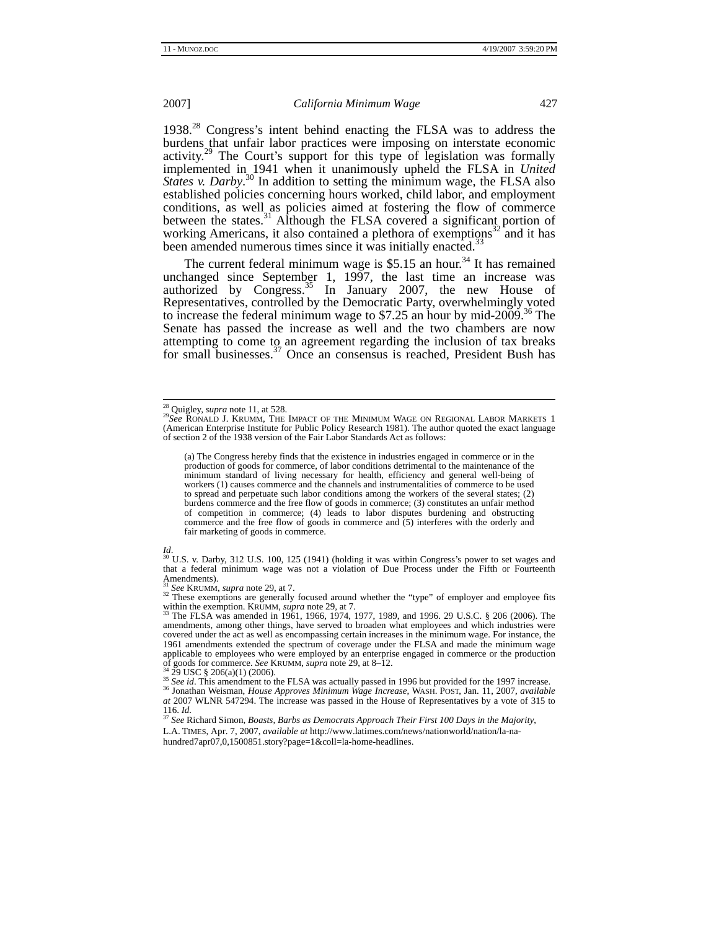1938.28 Congress's intent behind enacting the FLSA was to address the burdens that unfair labor practices were imposing on interstate economic activity.<sup>29</sup> The Court's support for this type of legislation was formally implemented in 1941 when it unanimously upheld the FLSA in *United States v. Darby*.<sup>30</sup> In addition to setting the minimum wage, the FLSA also established policies concerning hours worked, child labor, and employment conditions, as well as policies aimed at fostering the flow of commerce between the states.<sup>31</sup> Although the FLSA covered a significant portion of working Americans, it also contained a plethora of exemptions<sup>32</sup> and it has been amended numerous times since it was initially enacted.<sup>33</sup>

The current federal minimum wage is  $$5.15$  an hour.<sup>34</sup> It has remained unchanged since September 1, 1997, the last time an increase was authorized by Congress.<sup>35</sup> In January 2007, the new House of Representatives, controlled by the Democratic Party, overwhelmingly voted to increase the federal minimum wage to \$7.25 an hour by mid-2009.<sup>36</sup> The Senate has passed the increase as well and the two chambers are now attempting to come to an agreement regarding the inclusion of tax breaks for small businesses.<sup>37</sup> Once an consensus is reached, President Bush has

(a) The Congress hereby finds that the existence in industries engaged in commerce or in the production of goods for commerce, of labor conditions detrimental to the maintenance of the minimum standard of living necessary for health, efficiency and general well-being of workers (1) causes commerce and the channels and instrumentalities of commerce to be used to spread and perpetuate such labor conditions among the workers of the several states; (2) burdens commerce and the free flow of goods in commerce; (3) constitutes an unfair method of competition in commerce; (4) leads to labor disputes burdening and obstructing commerce and the free flow of goods in commerce and (5) interferes with the orderly and fair marketing of goods in commerce.

<sup>32</sup> These exemptions are generally focused around whether the "type" of employer and employee fits within the exemption. KRUMM, *supra* note 29, at 7.

The FLSA was amended in 1961, 1966, 1974, 1977, 1989, and 1996. 29 U.S.C. § 206 (2006). The amendments, among other things, have served to broaden what employees and which industries were covered under the act as well as encompassing certain increases in the minimum wage. For instance, the 1961 amendments extended the spectrum of coverage under the FLSA and made the minimum wage applicable to employees who were employed by an enterprise engaged in commerce or the production of goods for commerce. *See* KRUMM, *supra* note 29, at 8–12.<br><sup>34</sup>/<sub>2</sub>29 USC § 206(a)(1) (2006).

 $^{35}$  See id. This amendment to the FLSA was actually passed in 1996 but provided for the 1997 increase.<br><sup>36</sup> Jonathan Weisman, *House Approves Minimum Wage Increase*, WASH. POST, Jan. 11, 2007, *available at* 2007 WLNR 547294. The increase was passed in the House of Representatives by a vote of 315 to 116. *Id.* 

<sup>37</sup> See Richard Simon, *Boasts, Barbs as Democrats Approach Their First 100 Days in the Majority*, L.A. TIMES, Apr. 7, 2007, *available at* http://www.latimes.com/news/nationworld/nation/la-na-

hundred7apr07,0,1500851.story?page=1&coll=la-home-headlines.

<sup>&</sup>lt;sup>28</sup> Quigley, *supra* note 11, at 528.<br><sup>29</sup>*See* RONALD J. KRUMM, THE IMPACT OF THE MINIMUM WAGE ON REGIONAL LABOR MARKETS 1 (American Enterprise Institute for Public Policy Research 1981). The author quoted the exact language of section 2 of the 1938 version of the Fair Labor Standards Act as follows:

*Id.* 30 U.S. v. Darby, 312 U.S. 100, 125 (1941) (holding it was within Congress's power to set wages and 30 U.S. v. Darby, 312 U.S. 100, 125 (1941) (holding it was within Congress's power to set wages and that a federal minimum wage was not a violation of Due Process under the Fifth or Fourteenth Amendments).<br> $31 \text{ See }$ KRUMM, *supra* note 29, at 7.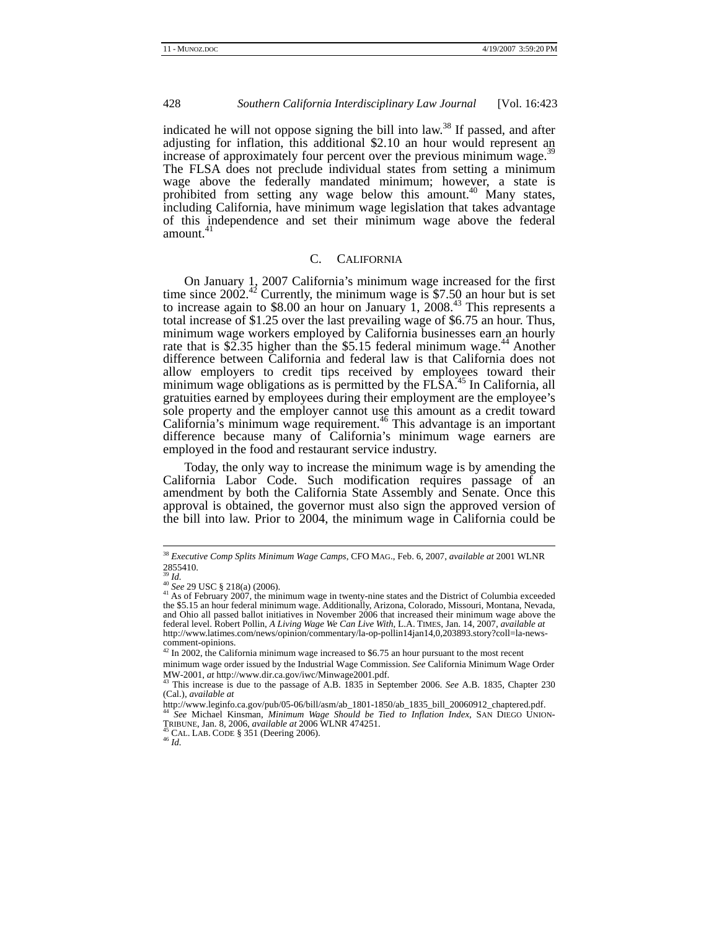indicated he will not oppose signing the bill into law.<sup>38</sup> If passed, and after adjusting for inflation, this additional \$2.10 an hour would represent an increase of approximately four percent over the previous minimum wage. $35$ The FLSA does not preclude individual states from setting a minimum wage above the federally mandated minimum; however, a state is prohibited from setting any wage below this amount.<sup>40</sup> Many states, including California, have minimum wage legislation that takes advantage of this independence and set their minimum wage above the federal amount. $41$ 

# C. CALIFORNIA

On January 1, 2007 California's minimum wage increased for the first time since  $2002.^{42}$  Currently, the minimum wage is \$7.50 an hour but is set to increase again to \$8.00 an hour on January 1, 2008.<sup>43</sup> This represents a total increase of \$1.25 over the last prevailing wage of \$6.75 an hour. Thus, minimum wage workers employed by California businesses earn an hourly rate that is \$2.35 higher than the \$5.15 federal minimum wage.<sup>44</sup> Another difference between California and federal law is that California does not allow employers to credit tips received by employees toward their minimum wage obligations as is permitted by the FLSA.<sup>45</sup> In California, all gratuities earned by employees during their employment are the employee's sole property and the employer cannot use this amount as a credit toward California's minimum wage requirement.<sup>46</sup> This advantage is an important difference because many of California's minimum wage earners are employed in the food and restaurant service industry.

Today, the only way to increase the minimum wage is by amending the California Labor Code. Such modification requires passage of an amendment by both the California State Assembly and Senate. Once this approval is obtained, the governor must also sign the approved version of the bill into law. Prior to 2004, the minimum wage in California could be

 <sup>38</sup> *Executive Comp Splits Minimum Wage Camps*, CFO MAG., Feb. 6, 2007, *available at* 2001 WLNR  $2855410.$ 

<sup>&</sup>lt;sup>39</sup> *Id.*<br><sup>40</sup> *See* 29 USC § 218(a) (2006).<br><sup>41</sup> As of February 2007, the minimum wage in twenty-nine states and the District of Columbia exceeded<br>Associated Missouri Montana Nevada the \$5.15 an hour federal minimum wage. Additionally, Arizona, Colorado, Missouri, Montana, Nevada, and Ohio all passed ballot initiatives in November 2006 that increased their minimum wage above the federal level. Robert Pollin, *A Living Wage We Can Live With*, L.A. TIMES, Jan. 14, 2007, *available at*  http://www.latimes.com/news/opinion/commentary/la-op-pollin14jan14,0,203893.story?coll=la-newscomment-opinions. 42 In 2002, the California minimum wage increased to \$6.75 an hour pursuant to the most recent

minimum wage order issued by the Industrial Wage Commission. *See* California Minimum Wage Order MW-2001, *at* http://www.dir.ca.gov/iwc/Minwage2001.pdf. 43 This increase is due to the passage of A.B. 1835 in September 2006. *See* A.B. 1835, Chapter 230

<sup>(</sup>Cal.), *available at*

<sup>&</sup>lt;sup>44</sup> See Michael Kinsman, *Minimum Wage Should be Tied to Inflation Index*, SAN DIEGO UNION-<br>TRIBUNE, Jan. 8, 2006, *available at* 2006 WLNR 474251.<br><sup>45</sup> CAL. LAB. CODE § 351 (Deering 2006).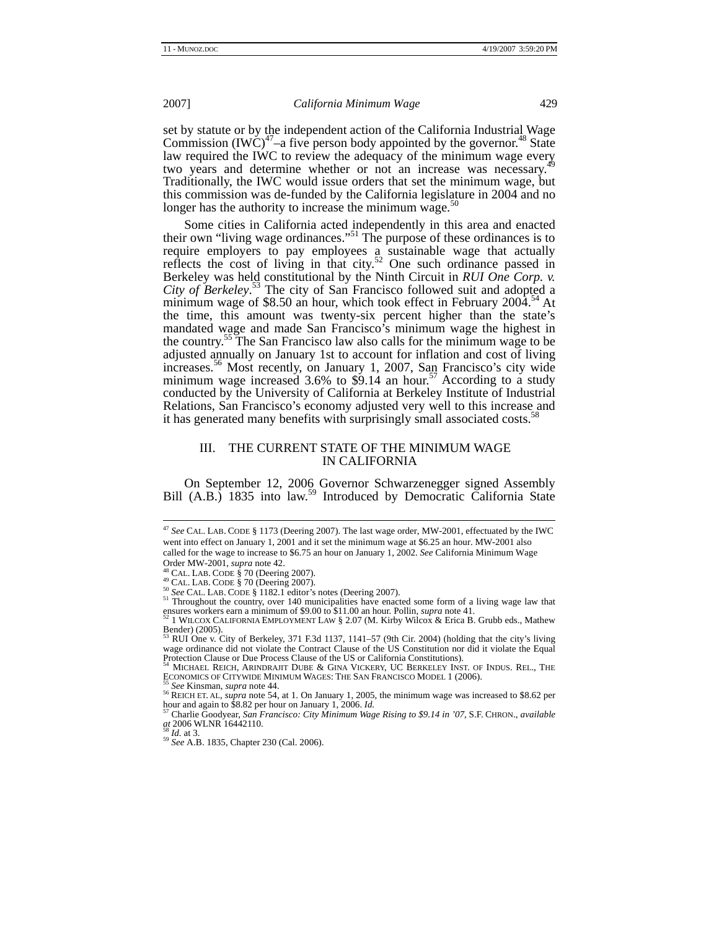set by statute or by the independent action of the California Industrial Wage Commission (IWC)<sup>47</sup>–a five person body appointed by the governor.<sup>48</sup> State Lonninssion  $\mu$   $\mu$   $\sigma$  and  $\sigma$  person  $\sigma$  and  $\sigma$  are  $\sigma$  is a required the IWC to review the adequacy of the minimum wage every two years and determine whether or not an increase was necessary.<sup>4</sup> Traditionally, the IWC would issue orders that set the minimum wage, but this commission was de-funded by the California legislature in 2004 and no longer has the authority to increase the minimum wage.<sup>51</sup>

Some cities in California acted independently in this area and enacted their own "living wage ordinances."51 The purpose of these ordinances is to require employers to pay employees a sustainable wage that actually reflects the cost of living in that city.<sup>52</sup> One such ordinance passed in Berkeley was held constitutional by the Ninth Circuit in *RUI One Corp. v. City of Berkeley*. 53 The city of San Francisco followed suit and adopted a minimum wage of \$8.50 an hour, which took effect in February  $200\hat{4}^{54}$  At the time, this amount was twenty-six percent higher than the state's mandated wage and made San Francisco's minimum wage the highest in the country.<sup>55</sup> The San Francisco law also calls for the minimum wage to be adjusted annually on January 1st to account for inflation and cost of living increases.<sup>56</sup> Most recently, on January 1, 2007, San Francisco's city wide minimum wage increased  $3.6\%$  to  $\frac{1}{4}$  an hour.<sup>57</sup> According to a study conducted by the University of California at Berkeley Institute of Industrial Relations, San Francisco's economy adjusted very well to this increase and it has generated many benefits with surprisingly small associated costs.<sup>5</sup>

# III. THE CURRENT STATE OF THE MINIMUM WAGE IN CALIFORNIA

On September 12, 2006 Governor Schwarzenegger signed Assembly Bill (A.B.) 1835 into law.<sup>59</sup> Introduced by Democratic California State

 <sup>47</sup> *See* CAL. LAB. CODE § 1173 (Deering 2007). The last wage order, MW-2001, effectuated by the IWC went into effect on January 1, 2001 and it set the minimum wage at \$6.25 an hour. MW-2001 also called for the wage to increase to \$6.75 an hour on January 1, 2002. *See* California Minimum Wage

Order MW-2001, *supra* note 42.<br><sup>48</sup> CAL. LAB. CODE § 70 (Deering 2007).<br><sup>49</sup> CAL. LAB. CODE § 70 (Deering 2007).<br><sup>50</sup> See CAL. LAB. CODE § 1182.1 editor's notes (Deering 2007).<br><sup>51</sup> Throughout the country, over 140 munic ensures workers earn a minimum of \$9.00 to \$11.00 an hour. Pollin, *supra* note 41.<br><sup>52</sup> 1 WILCOX CALIFORNIA EMPLOYMENT LAW § 2.07 (M. Kirby Wilcox & Erica B. Grubb eds., Mathew

Bender) (2005).<br> $^{53}$  PHI Ope v C

<sup>53</sup> RUI One v. City of Berkeley, 371 F.3d 1137, 1141–57 (9th Cir. 2004) (holding that the city's living wage ordinance did not violate the Contract Clause of the US Constitution nor did it violate the Equal Protection Clause or Due Process Clause of the US or California Constitutions).<br><sup>54</sup> MICHAEL REICH, ARINDRAJIT DUBE & GINA VICKERY, UC BERKELEY INST. OF INDUS. REL., THE

ECONOMICS OF CITYWIDE MINIMUM WAGES: THE SAN FRANCISCO MODEL 1 (2006).<br><sup>55</sup> *See* Kinsman, *supra* note 44. 56 REICH ET. AL, *supra* note 54, at 1. On January 1, 2005, the minimum wage was increased to \$8.62 per hour and a

<sup>&</sup>lt;sup>57</sup> Charlie Goodyear, *San Francisco: City Minimum Wage Rising to \$9.14 in '07*, S.F. CHRON., *available at* 2006 WLNR 16442110.<br>*at* 2006 WLNR 16442110.<br><sup>58</sup> *Id.* at 3.<br><sup>59</sup> *See* A.B. 1835, Chapter 230 (Cal. 2006).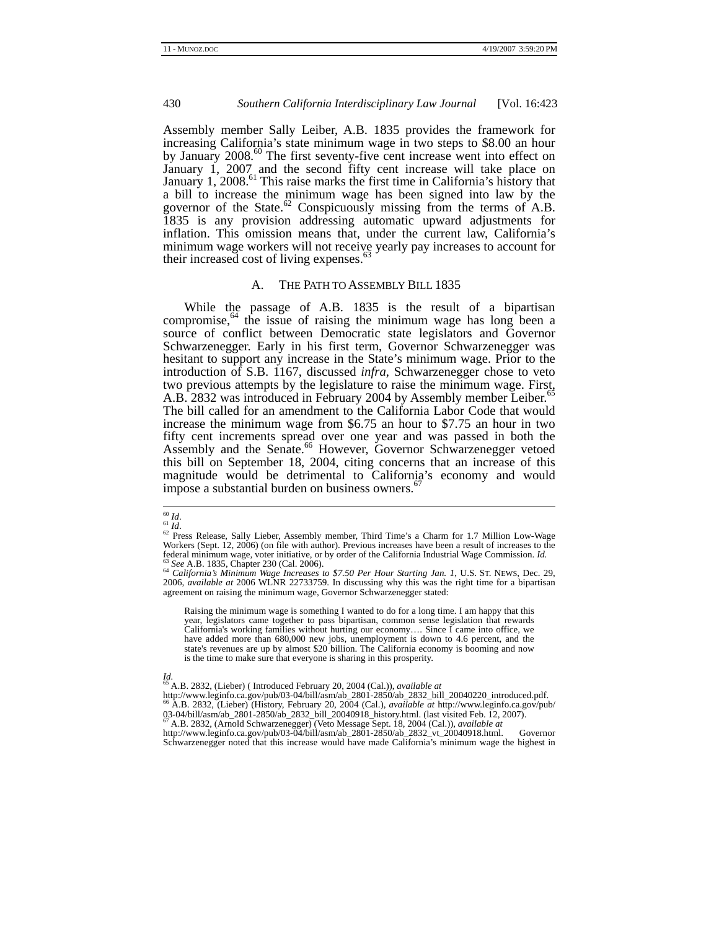Assembly member Sally Leiber, A.B. 1835 provides the framework for increasing California's state minimum wage in two steps to \$8.00 an hour by January 2008. $^{60}$  The first seventy-five cent increase went into effect on January 1, 2007 and the second fifty cent increase will take place on January 1, 2008.<sup>61</sup> This raise marks the first time in California's history that a bill to increase the minimum wage has been signed into law by the governor of the State. $62$  Conspicuously missing from the terms of A.B. 1835 is any provision addressing automatic upward adjustments for inflation. This omission means that, under the current law, California's minimum wage workers will not receive yearly pay increases to account for their increased cost of living expenses.<sup>63</sup>

#### A. THE PATH TO ASSEMBLY BILL 1835

While the passage of A.B. 1835 is the result of a bipartisan compromise, $64$  the issue of raising the minimum wage has long been a source of conflict between Democratic state legislators and Governor Schwarzenegger. Early in his first term, Governor Schwarzenegger was hesitant to support any increase in the State's minimum wage. Prior to the introduction of S.B. 1167, discussed *infra*, Schwarzenegger chose to veto two previous attempts by the legislature to raise the minimum wage. First, A.B. 2832 was introduced in February 2004 by Assembly member Leiber.<sup>6</sup> The bill called for an amendment to the California Labor Code that would increase the minimum wage from \$6.75 an hour to \$7.75 an hour in two fifty cent increments spread over one year and was passed in both the Assembly and the Senate.<sup>66</sup> However, Governor Schwarzenegger vetoed this bill on September 18, 2004, citing concerns that an increase of this magnitude would be detrimental to California's economy and would impose a substantial burden on business owners.<sup>67</sup>

Raising the minimum wage is something I wanted to do for a long time. I am happy that this year, legislators came together to pass bipartisan, common sense legislation that rewards California's working families without hurting our economy…. Since I came into office, we have added more than 680,000 new jobs, unemployment is down to 4.6 percent, and the state's revenues are up by almost \$20 billion. The California economy is booming and now is the time to make sure that everyone is sharing in this prosperity.

 $h = 67$  A.B. 2832, (Arnold Schwarzenegger) (Veto Message Sept. 18, 2004 (Cal.)), *available at* http://www.leginfo.ca.gov/pub/03-04/bill/asm/ab\_2801-2850/ab\_2832\_vt\_20040918.html. Schwarzenegger noted that this increase would have made California's minimum wage the highest in

<sup>60</sup> *Id.*<br>61 *Id.*<br>62 Press Release, Sally Lieber, Assembly member, Third Time's a Charm for 1.7 Million Low-Wage Workers (Sept. 12, 2006) (on file with author). Previous increases have been a result of increases to the federal minimum wage, voter initiative, or by order of the California Industrial Wage Commission. *Id.* 

 $^{63}$  See A.B. 1835, Chapter 230 (Cal. 2006).<br> $^{64}$  California's Minimum Wage Increases to \$7.50 Per Hour Starting Jan. 1, U.S. ST. NEWS, Dec. 29, 2006, *available at* 2006 WLNR 22733759. In discussing why this was the right time for a bipartisan agreement on raising the minimum wage, Governor Schwarzenegger stated:

*Id.*  65 A.B. 2832, (Lieber) ( Introduced February 20, 2004 (Cal.)), *available at*

http://www.leginfo.ca.gov/pub/03-04/bill/asm/ab\_2801-2850/ab\_2832\_bill\_20040220\_introduced.pdf. 66 A.B. 2832, (Lieber) (History, February 20, 2004 (Cal.), *available at* http://www.leginfo.ca.gov/pub/ 03-04/bill/asm<sup>2</sup>ab\_2801-2850/ab\_2832\_bill\_20040918\_history.html. (last visited Feb. 12, 2007).<br><sup>67</sup> A.B. 2832, (Arnold Schwarzenegger) (Veto Message Sept. 18, 2004 (Cal.)), *available at*<br>http://www.leginfo.ca.gov/pub/03-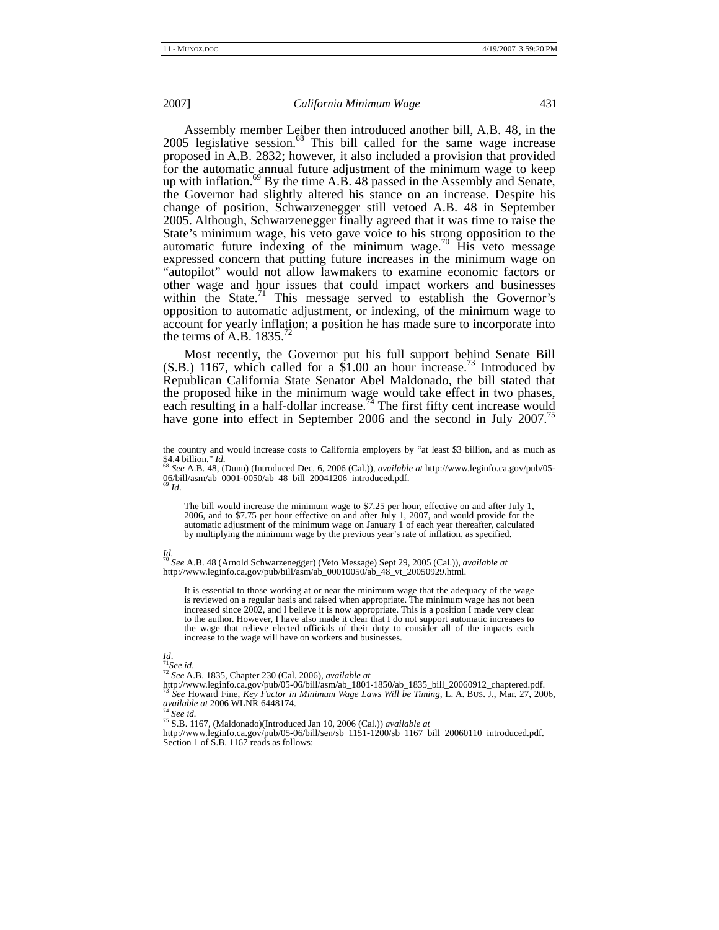Assembly member Leiber then introduced another bill, A.B. 48, in the 2005 legislative session.<sup>68</sup> This bill called for the same wage increase proposed in A.B. 2832; however, it also included a provision that provided for the automatic annual future adjustment of the minimum wage to keep up with inflation.<sup>69</sup> By the time A.B. 48 passed in the Assembly and Senate, the Governor had slightly altered his stance on an increase. Despite his change of position, Schwarzenegger still vetoed A.B. 48 in September 2005. Although, Schwarzenegger finally agreed that it was time to raise the State's minimum wage, his veto gave voice to his strong opposition to the automatic future indexing of the minimum wage.<sup>70</sup> His veto message expressed concern that putting future increases in the minimum wage on "autopilot" would not allow lawmakers to examine economic factors or other wage and hour issues that could impact workers and businesses within the State.<sup>71</sup> This message served to establish the Governor's opposition to automatic adjustment, or indexing, of the minimum wage to account for yearly inflation; a position he has made sure to incorporate into the terms of A.B.  $1835.'$ 

Most recently, the Governor put his full support behind Senate Bill  $(S.B.)$  1167, which called for a \$1.00 an hour increase.<sup>73</sup> Introduced by Republican California State Senator Abel Maldonado, the bill stated that the proposed hike in the minimum wage would take effect in two phases, each resulting in a half-dollar increase.  $\frac{74}{4}$  The first fifty cent increase would have gone into effect in September 2006 and the second in July 2007.<sup>75</sup>

06/bill/asm/ab\_0001-0050/ab\_48\_bill\_20041206\_introduced.pdf. 69 *Id*.

The bill would increase the minimum wage to \$7.25 per hour, effective on and after July 1, 2006, and to \$7.75 per hour effective on and after July 1, 2007, and would provide for the automatic adjustment of the minimum wage on January 1 of each year thereafter, calculated by multiplying the minimum wage by the previous year's rate of inflation, as specified.

*Id.*  <sup>70</sup> *See* A.B. 48 (Arnold Schwarzenegger) (Veto Message) Sept 29, 2005 (Cal.)), *available at*  http://www.leginfo.ca.gov/pub/bill/asm/ab\_00010050/ab\_48\_vt\_20050929.html.

It is essential to those working at or near the minimum wage that the adequacy of the wage is reviewed on a regular basis and raised when appropriate. The minimum wage has not been increased since 2002, and I believe it is now appropriate. This is a position I made very clear to the author. However, I have also made it clear that I do not support automatic increases to the wage that relieve elected officials of their duty to consider all of the impacts each increase to the wage will have on workers and businesses.

*Id*. 71*See id*. 72 *See* A.B. 1835, Chapter 230 (Cal. 2006), *available at* http://www.leginfo.ca.gov/pub/05-06/bill/asm/ab\_1801-1850/ab\_1835\_bill\_20060912\_chaptered.pdf. 73 *See* Howard Fine, *Key Factor in Minimum Wage Laws Will be Timing,* L. A. BUS. J., Mar. 27, 2006, *available at* 2006 WLNR 6448174. 74 *See id.* 75 S.B. 1167, (Maldonado)(Introduced Jan 10, 2006 (Cal.)) *available at* 

<sup>75</sup> S.B. 1167, (Maldonado)(Introduced Jan 10, 2006 (Cal.)) *available at*<br>http://www.leginfo.ca.gov/pub/05-06/bill/sen/sb\_1151-1200/sb\_1167\_bill\_20060110\_introduced.pdf. Section 1 of S.B. 1167 reads as follows:

the country and would increase costs to California employers by "at least \$3 billion, and as much as  $$4.4 \text{ billion}$   $M_{\text{tot}}$ . \$4.4 billion." *Id*. 68 *See* A.B. 48, (Dunn) (Introduced Dec, 6, 2006 (Cal.)), *available at* http://www.leginfo.ca.gov/pub/05-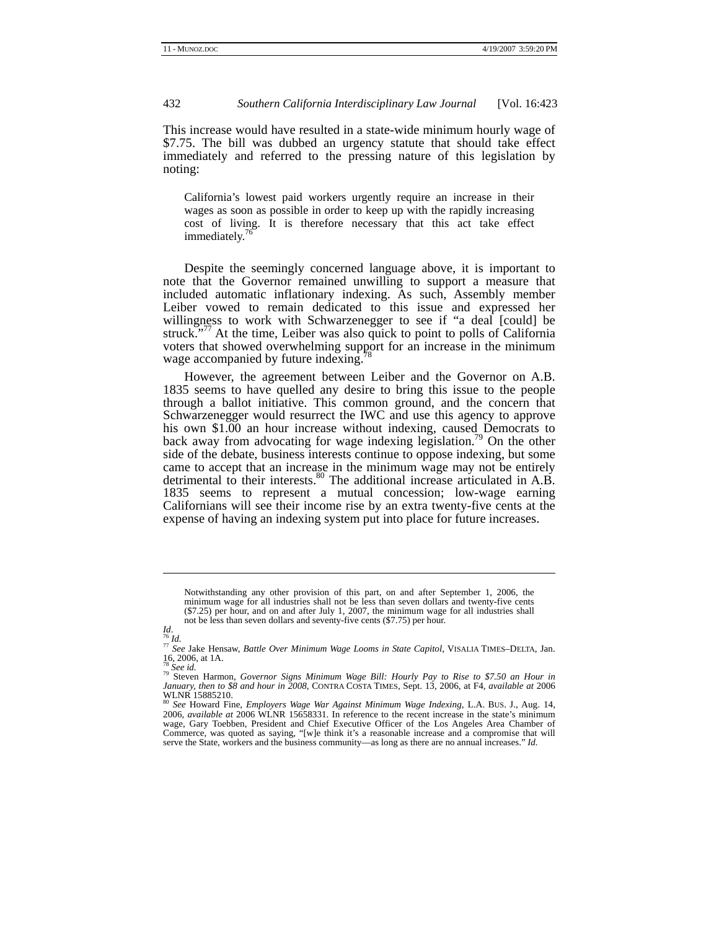This increase would have resulted in a state-wide minimum hourly wage of \$7.75. The bill was dubbed an urgency statute that should take effect immediately and referred to the pressing nature of this legislation by noting:

California's lowest paid workers urgently require an increase in their wages as soon as possible in order to keep up with the rapidly increasing cost of living. It is therefore necessary that this act take effect immediately.<sup>7</sup>

Despite the seemingly concerned language above, it is important to note that the Governor remained unwilling to support a measure that included automatic inflationary indexing. As such, Assembly member Leiber vowed to remain dedicated to this issue and expressed her willingness to work with Schwarzenegger to see if "a deal [could] be struck."<sup>77</sup> At the time, Leiber was also quick to point to polls of California voters that showed overwhelming support for an increase in the minimum wage accompanied by future indexing.

However, the agreement between Leiber and the Governor on A.B. 1835 seems to have quelled any desire to bring this issue to the people through a ballot initiative. This common ground, and the concern that Schwarzenegger would resurrect the IWC and use this agency to approve his own \$1.00 an hour increase without indexing, caused Democrats to back away from advocating for wage indexing legislation.<sup>79</sup> On the other side of the debate, business interests continue to oppose indexing, but some came to accept that an increase in the minimum wage may not be entirely detrimental to their interests.<sup>80</sup> The additional increase articulated in A.B. 1835 seems to represent a mutual concession; low-wage earning Californians will see their income rise by an extra twenty-five cents at the expense of having an indexing system put into place for future increases.

Notwithstanding any other provision of this part, on and after September 1, 2006, the minimum wage for all industries shall not be less than seven dollars and twenty-five cents (\$7.25) per hour, and on and after July 1, 2007, the minimum wage for all industries shall not be less than seven dollars and seventy-five cents (\$7.75) per hour.

l

*Id*. 76 *Id.* <sup>77</sup> *See* Jake Hensaw, *Battle Over Minimum Wage Looms in State Capitol*, VISALIA TIMES–DELTA, Jan. 16, 2006, at 1A.<br> $^{78}$  See id.

<sup>78</sup> *See id.* 79 Steven Harmon, *Governor Signs Minimum Wage Bill: Hourly Pay to Rise to \$7.50 an Hour in January, then to \$8 and hour in 2008*, CONTRA COSTA TIMES, Sept. 13, 2006, at F4, *available at* 2006 WLNR 15885210. <sup>80</sup> *See* Howard Fine, *Employers Wage War Against Minimum Wage Indexing*, L.A. BUS. J., Aug. 14,

<sup>2006,</sup> *available at* 2006 WLNR 15658331. In reference to the recent increase in the state's minimum wage, Gary Toebben, President and Chief Executive Officer of the Los Angeles Area Chamber of Commerce, was quoted as saying, "[w]e think it's a reasonable increase and a compromise that will serve the State, workers and the business community—as long as there are no annual increases." *Id.*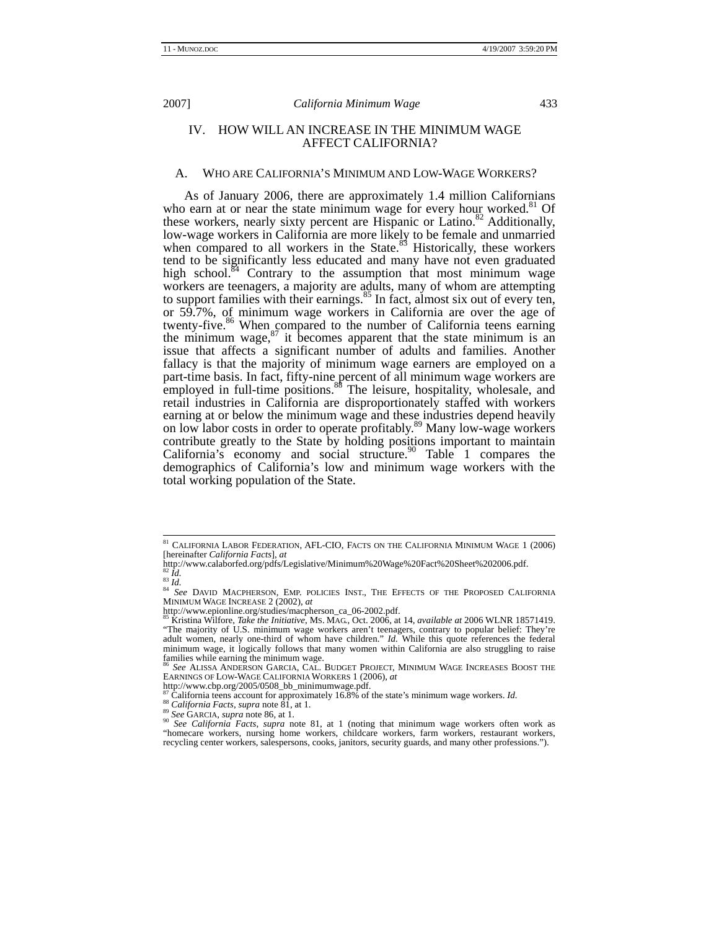# IV. HOW WILL AN INCREASE IN THE MINIMUM WAGE AFFECT CALIFORNIA?

### A. WHO ARE CALIFORNIA'S MINIMUM AND LOW-WAGE WORKERS?

As of January 2006, there are approximately 1.4 million Californians who earn at or near the state minimum wage for every hour worked. $81$  Of these workers, nearly sixty percent are Hispanic or Latino.<sup>82</sup> Additionally, low-wage workers in California are more likely to be female and unmarried when compared to all workers in the State.<sup>83</sup> Historically, these workers tend to be significantly less educated and many have not even graduated high school.<sup>84</sup> Contrary to the assumption that most minimum wage workers are teenagers, a majority are adults, many of whom are attempting to support families with their earnings. $85$  In fact, almost six out of every ten, or 59.7%, of minimum wage workers in California are over the age of twenty-five.<sup>86</sup> When compared to the number of California teens earning the minimum wage,  $87$  it becomes apparent that the state minimum is an issue that affects a significant number of adults and families. Another fallacy is that the majority of minimum wage earners are employed on a part-time basis. In fact, fifty-nine percent of all minimum wage workers are employed in full-time positions.<sup>88</sup> The leisure, hospitality, wholesale, and retail industries in California are disproportionately staffed with workers earning at or below the minimum wage and these industries depend heavily on low labor costs in order to operate profitably.<sup>89</sup> Many low-wage workers contribute greatly to the State by holding positions important to maintain California's economy and social structure.<sup>90</sup> Table 1 compares the demographics of California's low and minimum wage workers with the total working population of the State.

 $^{\,81}$  CALIFORNIA LABOR FEDERATION, AFL-CIO, FACTS ON THE CALIFORNIA MINIMUM WAGE  $1$  (2006) [hereinafter *California Facts*], *at* 

http://www.calaborfed.org/pdfs/Legislative/Minimum%20Wage%20Fact%20Sheet%202006.pdf.<br><sup>82</sup> Id.<br><sup>84</sup> See DAVID MACPHERSON, EMP. POLICIES INST., THE EFFECTS OF THE PROPOSED CALIFORNIA<br><sup>84</sup> See DAVID MACPHERSON, EMP. POLICIES 85 Kristina Wilfore, *Take the Initiative*, MS. MAG., Oct. 2006, at 14, *available at* 2006 WLNR 18571419.

<sup>&</sup>quot;The majority of U.S. minimum wage workers aren't teenagers, contrary to popular belief: They're adult women, nearly one-third of whom have children." *Id.* While this quote references the federal minimum wage, it logically follows that many women within California are also struggling to raise families while earning the minimum wage.<br><sup>86</sup> See ALISSA ANDERSON GARCIA, CAL. BUDGET PROJECT, MINIMUM WAGE INCREASES BOOST THE

EARNINGS OF LOW-WAGE CALIFORNIA WORKERS 1 (2006), *at*

http://www.cbp.org/2005/0508\_bb\_minimumwage.pdf.<br><sup>87</sup> California teens account for approximately 16.8% of the state's minimum wage workers. *Id.* 

ss California Facts, supra note 81, at 1.<br><sup>89</sup> See GARCIA, supra note 86, at 1.<br><sup>89</sup> See GARCIA, supra note 86, at 1.<br><sup>90</sup> See California Facts, supra note 81, at 1 (noting that minimum wage workers often work as "homecare workers, nursing home workers, childcare workers, farm workers, restaurant workers, recycling center workers, salespersons, cooks, janitors, security guards, and many other professions.").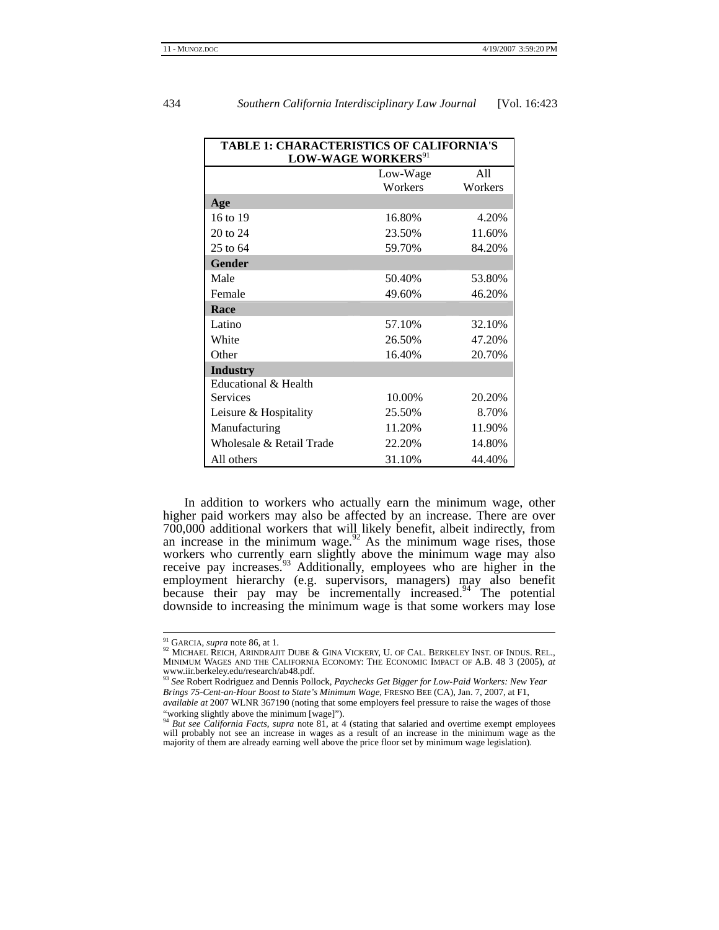| TABLE 1: CHARACTERISTICS OF CALIFORNIA'S<br><b>LOW-WAGE WORKERS</b> <sup>91</sup> |                  |         |  |  |
|-----------------------------------------------------------------------------------|------------------|---------|--|--|
|                                                                                   |                  |         |  |  |
|                                                                                   | Workers          | Workers |  |  |
| Age                                                                               |                  |         |  |  |
| 16 to 19                                                                          | 16.80%           | 4.20%   |  |  |
| $20$ to $24$                                                                      | 23.50%           | 11.60%  |  |  |
| 25 to 64                                                                          | 59.70%           | 84.20%  |  |  |
| <b>Gender</b>                                                                     |                  |         |  |  |
| Male                                                                              | 50.40%           | 53.80%  |  |  |
| Female                                                                            | 49.60%           | 46.20%  |  |  |
| Race                                                                              |                  |         |  |  |
| Latino                                                                            | 57.10%           | 32.10%  |  |  |
| White                                                                             | 26.50%           | 47.20%  |  |  |
| Other                                                                             | 20.70%<br>16.40% |         |  |  |
| <b>Industry</b>                                                                   |                  |         |  |  |
| Educational & Health                                                              |                  |         |  |  |
| Services                                                                          | 10.00%           | 20.20%  |  |  |
| Leisure & Hospitality                                                             | 25.50%           | 8.70%   |  |  |
| Manufacturing                                                                     | 11.20%           | 11.90%  |  |  |
| Wholesale & Retail Trade                                                          | 22.20%           | 14.80%  |  |  |
| All others                                                                        | 31.10%           | 44.40%  |  |  |

In addition to workers who actually earn the minimum wage, other higher paid workers may also be affected by an increase. There are over 700,000 additional workers that will likely benefit, albeit indirectly, from an increase in the minimum wage. $92$  As the minimum wage rises, those workers who currently earn slightly above the minimum wage may also receive pay increases.<sup>93</sup> Additionally, employees who are higher in the employment hierarchy (e.g. supervisors, managers) may also benefit because their pay may be incrementally increased.<sup>94</sup> The potential downside to increasing the minimum wage is that some workers may lose

<sup>&</sup>lt;sup>91</sup> GARCIA, *supra* note 86, at 1.<br><sup>92</sup> MICHAEL REICH, ARINDRAJIT DUBE & GINA VICKERY, U. OF CAL. BERKELEY INST. OF INDUS. REL., MINIMUM WAGES AND THE CALIFORNIA ECONOMY: THE ECONOMIC IMPACT OF A.B. 48 3 (2005), *at* www.iir.berkeley.edu/research/ab48.pdf. <sup>93</sup> *See* Robert Rodriguez and Dennis Pollock, *Paychecks Get Bigger for Low-Paid Workers: New Year* 

*Brings 75-Cent-an-Hour Boost to State's Minimum Wage*, FRESNO BEE (CA), Jan. 7, 2007, at F1, *available at* 2007 WLNR 367190 (noting that some employers feel pressure to raise the wages of those

<sup>&</sup>quot;working slightly above the minimum [wage]"). <sup>94</sup> *But see California Facts*, *supra* note 81, at 4 (stating that salaried and overtime exempt employees

will probably not see an increase in wages as a result of an increase in the minimum wage as the majority of them are already earning well above the price floor set by minimum wage legislation).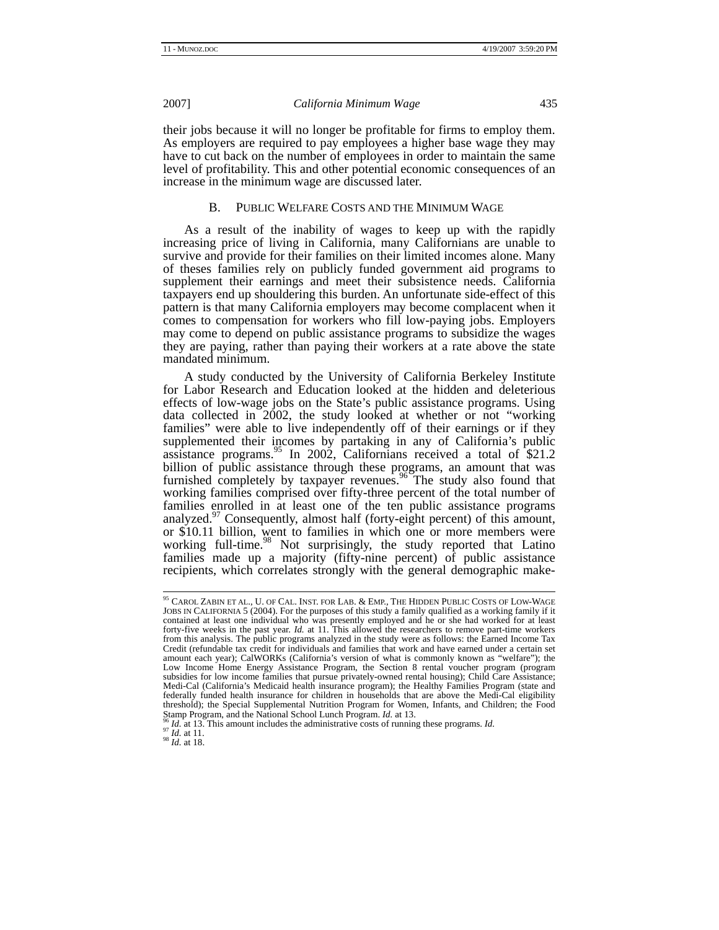their jobs because it will no longer be profitable for firms to employ them. As employers are required to pay employees a higher base wage they may have to cut back on the number of employees in order to maintain the same level of profitability. This and other potential economic consequences of an increase in the minimum wage are discussed later.

#### B. PUBLIC WELFARE COSTS AND THE MINIMUM WAGE

As a result of the inability of wages to keep up with the rapidly increasing price of living in California, many Californians are unable to survive and provide for their families on their limited incomes alone. Many of theses families rely on publicly funded government aid programs to supplement their earnings and meet their subsistence needs. California taxpayers end up shouldering this burden. An unfortunate side-effect of this pattern is that many California employers may become complacent when it comes to compensation for workers who fill low-paying jobs. Employers may come to depend on public assistance programs to subsidize the wages they are paying, rather than paying their workers at a rate above the state mandated minimum.

A study conducted by the University of California Berkeley Institute for Labor Research and Education looked at the hidden and deleterious effects of low-wage jobs on the State's public assistance programs. Using data collected in 2002, the study looked at whether or not "working" families" were able to live independently off of their earnings or if they supplemented their incomes by partaking in any of California's public assistance programs.<sup>95</sup> In 2002, Californians received a total of \$21.2 billion of public assistance through these programs, an amount that was furnished completely by taxpayer revenues.<sup>96</sup> The study also found that working families comprised over fifty-three percent of the total number of families enrolled in at least one of the ten public assistance programs analyzed.<sup>97</sup> Consequently, almost half (forty-eight percent) of this amount, or \$10.11 billion, went to families in which one or more members were working full-time.<sup>98</sup> Not surprisingly, the study reported that Latino families made up a majority (fifty-nine percent) of public assistance recipients, which correlates strongly with the general demographic make-

 <sup>95</sup> CAROL ZABIN ET AL., U. OF CAL. INST. FOR LAB. & EMP., THE HIDDEN PUBLIC COSTS OF LOW-WAGE JOBS IN CALIFORNIA 5 (2004). For the purposes of this study a family qualified as a working family if it contained at least one individual who was presently employed and he or she had worked for at least forty-five weeks in the past year. *Id.* at 11. This allowed the researchers to remove part-time workers from this analysis. The public programs analyzed in the study were as follows: the Earned Income Tax Credit (refundable tax credit for individuals and families that work and have earned under a certain set amount each year); CalWORKs (California's version of what is commonly known as "welfare"); the Low Income Home Energy Assistance Program, the Section 8 rental voucher program (program subsidies for low income families that pursue privately-owned rental housing); Child Care Assistance; Medi-Cal (California's Medicaid health insurance program); the Healthy Families Program (state and federally funded health insurance for children in households that are above the Medi-Cal eligibility threshold); the Special Supplemental Nutrition Program for Women, Infants, and Children; the Food Starr Program, and the National School Lunch Program.  $Id$  at 13.

<sup>&</sup>lt;sup>96</sup> *Id.* at 13. This amount includes the administrative costs of running these programs. *Id.* <sup>97</sup> *Id.* at 11. <sup>98</sup> *Id.* at 18.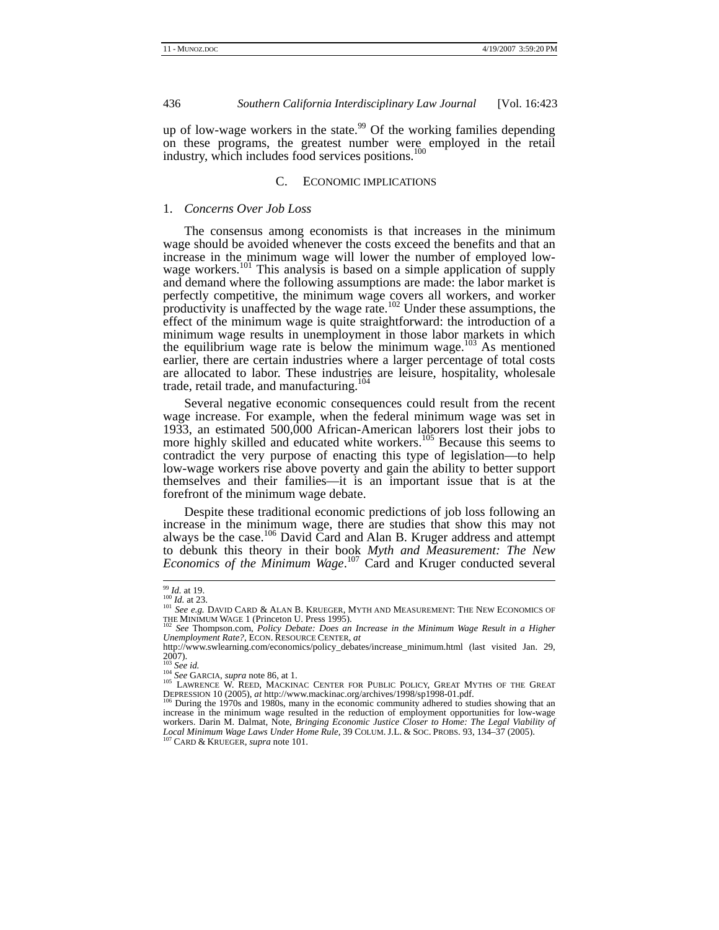up of low-wage workers in the state.<sup>99</sup> Of the working families depending on these programs, the greatest number were employed in the retail industry, which includes food services positions.<sup>100</sup>

#### C. ECONOMIC IMPLICATIONS

#### 1. *Concerns Over Job Loss*

The consensus among economists is that increases in the minimum wage should be avoided whenever the costs exceed the benefits and that an increase in the minimum wage will lower the number of employed lowwage workers.<sup>101</sup> This analysis is based on a simple application of supply and demand where the following assumptions are made: the labor market is perfectly competitive, the minimum wage covers all workers, and worker productivity is unaffected by the wage rate. $102$  Under these assumptions, the effect of the minimum wage is quite straightforward: the introduction of a minimum wage results in unemployment in those labor markets in which the equilibrium wage rate is below the minimum wage. $103$  As mentioned earlier, there are certain industries where a larger percentage of total costs are allocated to labor. These industries are leisure, hospitality, wholesale trade, retail trade, and manufacturing. $104$ 

Several negative economic consequences could result from the recent wage increase. For example, when the federal minimum wage was set in 1933, an estimated 500,000 African-American laborers lost their jobs to more highly skilled and educated white workers.<sup>105</sup> Because this seems to contradict the very purpose of enacting this type of legislation—to help low-wage workers rise above poverty and gain the ability to better support themselves and their families—it is an important issue that is at the forefront of the minimum wage debate.

Despite these traditional economic predictions of job loss following an increase in the minimum wage, there are studies that show this may not always be the case.<sup>106</sup> David Card and Alan B. Kruger address and attempt to debunk this theory in their book *Myth and Measurement: The New Economics of the Minimum Wage*. 107 Card and Kruger conducted several

<sup>&</sup>lt;sup>99</sup> *Id.* at 19.<br><sup>100</sup> *Id.* at 23.<br><sup>101</sup> *See e.g. David Card & Alan B. Krueger, Myth and Measurement: The New Economics of* THE MINIMUM WAGE 1 (Princeton U. Press 1995).<br><sup>102</sup> See Thompson.com, *Policy Debate: Does an Increase in the Minimum Wage Result in a Higher* 

*Unemployment Rate?*, ECON. RESOURCE CENTER, *at*

http://www.swlearning.com/economics/policy\_debates/increase\_minimum.html (last visited Jan. 29,  $2007$ ).<br>
<sup>103</sup> *See id.*<br>
<sup>103</sup> *See id.*<br> *um See GARCIA, supra* note 86, at 1.

<sup>105</sup> LAWRENCE W. REED, MACKINAC CENTER FOR PUBLIC POLICY, GREAT MYTHS OF THE GREAT<br>DEPRESSION 10 (2005), *at* http://www.mackinac.org/archives/1998/sp1998-01.pdf.

<sup>&</sup>lt;sup>106</sup> During the 1970s and 1980s, many in the economic community adhered to studies showing that an increase in the minimum wage resulted in the reduction of employment opportunities for low-wage workers. Darin M. Dalmat, Note, *Bringing Economic Justice Closer to Home: The Legal Viability of Local Minimum Wage Laws Under Home Rule*, 39 COLUM. J.L. & SOC. PROBS. 93, 134–37 (2005). 107 CARD & KRUEGER, *supra* note 101.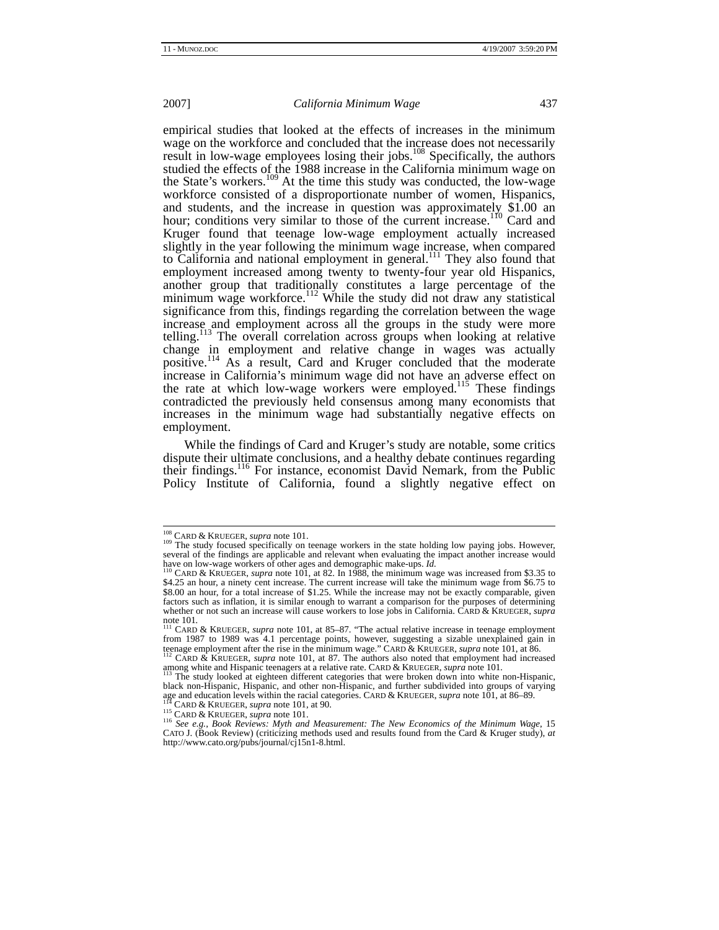empirical studies that looked at the effects of increases in the minimum wage on the workforce and concluded that the increase does not necessarily result in low-wage employees losing their jobs.<sup>108</sup> Specifically, the authors studied the effects of the 1988 increase in the California minimum wage on the State's workers.<sup>109</sup> At the time this study was conducted, the low-wage workforce consisted of a disproportionate number of women, Hispanics, and students, and the increase in question was approximately \$1.00 an hour; conditions very similar to those of the current increase.<sup>110</sup> Card and Kruger found that teenage low-wage employment actually increased slightly in the year following the minimum wage increase, when compared to California and national employment in general.<sup>111</sup> They also found that employment increased among twenty to twenty-four year old Hispanics, another group that traditionally constitutes a large percentage of the minimum wage workforce.<sup>112</sup> While the study did not draw any statistical significance from this, findings regarding the correlation between the wage increase and employment across all the groups in the study were more telling.113 The overall correlation across groups when looking at relative change in employment and relative change in wages was actually positive.<sup>114</sup> As a result, Card and Kruger concluded that the moderate increase in California's minimum wage did not have an adverse effect on the rate at which low-wage workers were employed.<sup>115</sup> These findings contradicted the previously held consensus among many economists that increases in the minimum wage had substantially negative effects on employment.

While the findings of Card and Kruger's study are notable, some critics dispute their ultimate conclusions, and a healthy debate continues regarding their findings.<sup>116</sup> For instance, economist David Nemark, from the Public Policy Institute of California, found a slightly negative effect on

<sup>&</sup>lt;sup>108</sup> CARD & KRUEGER, *supra* note 101.<br><sup>109</sup> The study focused specifically on teenage workers in the state holding low paying jobs. However, several of the findings are applicable and relevant when evaluating the impact another increase would<br>have on low-wage workers of other ages and demographic make-ups. *Id*.

<sup>&</sup>lt;sup>110</sup> CARD & KRUEGER, *supra* note 101, at 82. In 1988, the minimum wage was increased from \$3.35 to \$4.25 an hour, a ninety cent increase. The current increase will take the minimum wage from \$6.75 to \$8.00 an hour, for a total increase of \$1.25. While the increase may not be exactly comparable, given factors such as inflation, it is similar enough to warrant a comparison for the purposes of determining whether or not such an increase will cause workers to lose jobs in California. CARD & KRUEGER, *supra* note 101*.* 111 CARD & KRUEGER, *supra* note 101, at 85–87. "The actual relative increase in teenage employment

from 1987 to 1989 was 4.1 percentage points, however, suggesting a sizable unexplained gain in teenage employment after the rise in the minimum wage." CARD & KRUEGER, *supra* note 101, at 86. 112 CARD & KRUEGER, *supra* note 101, at 87. The authors also noted that employment had increased

among white and Hispanic teenagers at a relative rate. CARD & KRUEGER, *supra* note 101.<br><sup>113</sup> The study looked at eighteen different categories that were broken down into white non-Hispanic,<br><sup>113</sup> The study looked at eigh

black non-Hispanic, Hispanic, and other non-Hispanic, and further subdivided into groups of varying age and education levels within the racial categories. CARD & KRUEGER, *supra* note 101, at 86–89.<br><sup>114</sup> CARD & KRUEGER,

<sup>&</sup>lt;sup>116</sup> See e.g., Book Reviews: Myth and Measurement: The New Economics of the Minimum Wage, 15<br>CATO J. (Book Review) (criticizing methods used and results found from the Card & Kruger study), *at* http://www.cato.org/pubs/journal/cj15n1-8.html.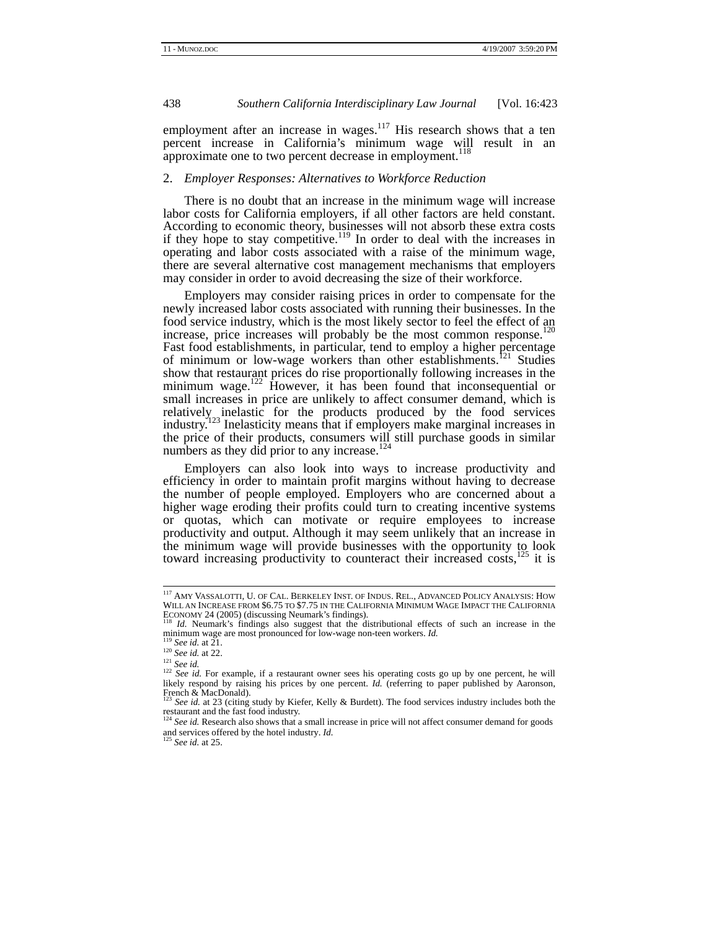employment after an increase in wages.<sup>117</sup> His research shows that a ten percent increase in California's minimum wage will result in an approximate one to two percent decrease in employment.<sup>118</sup>

# 2. *Employer Responses: Alternatives to Workforce Reduction*

There is no doubt that an increase in the minimum wage will increase labor costs for California employers, if all other factors are held constant. According to economic theory, businesses will not absorb these extra costs if they hope to stay competitive.<sup>119</sup> In order to deal with the increases in operating and labor costs associated with a raise of the minimum wage, there are several alternative cost management mechanisms that employers may consider in order to avoid decreasing the size of their workforce.

Employers may consider raising prices in order to compensate for the newly increased labor costs associated with running their businesses. In the food service industry, which is the most likely sector to feel the effect of an increase, price increases will probably be the most common response.<sup>120</sup> Fast food establishments, in particular, tend to employ a higher percentage of minimum or low-wage workers than other establishments.<sup>121</sup> Studies show that restaurant prices do rise proportionally following increases in the minimum wage.<sup>122</sup> However, it has been found that inconsequential or small increases in price are unlikely to affect consumer demand, which is relatively inelastic for the products produced by the food services industry.123 Inelasticity means that if employers make marginal increases in the price of their products, consumers will still purchase goods in similar numbers as they did prior to any increase. $124$ 

Employers can also look into ways to increase productivity and efficiency in order to maintain profit margins without having to decrease the number of people employed. Employers who are concerned about a higher wage eroding their profits could turn to creating incentive systems or quotas, which can motivate or require employees to increase productivity and output. Although it may seem unlikely that an increase in the minimum wage will provide businesses with the opportunity to look toward increasing productivity to counteract their increased costs,<sup>125</sup> it is

 <sup>117</sup> AMY VASSALOTTI, U. OF CAL. BERKELEY INST. OF INDUS. REL., ADVANCED POLICY ANALYSIS: HOW WILL AN INCREASE FROM \$6.75 TO \$7.75 IN THE CALIFORNIA MINIMUM WAGE IMPACT THE CALIFORNIA

ECONOMY 24 (2005) (discussing Neumark's findings).<br><sup>118</sup> *Id.* Neumark's findings also suggest that the distributional effects of such an increase in the<br> $\frac{119}{119}$  cut in wage are most pronounced for low-wage non-teen

<sup>&</sup>lt;sup>119</sup> See id. at 21.<br><sup>120</sup> See id. at 22.<br><sup>121</sup> See id. For example, if a restaurant owner sees his operating costs go up by one percent, he will likely respond by raising his prices by one percent. *Id.* (referring to paper published by Aaronson, French & MacDonald).

See id. at 23 (citing study by Kiefer, Kelly & Burdett). The food services industry includes both the restaurant and the fast food industry. <sup>124</sup> *See id.* Research also shows that a small increase in price will not affect consumer demand for goods

and services offered by the hotel industry. *Id.* <sup>125</sup> *See id.* at 25.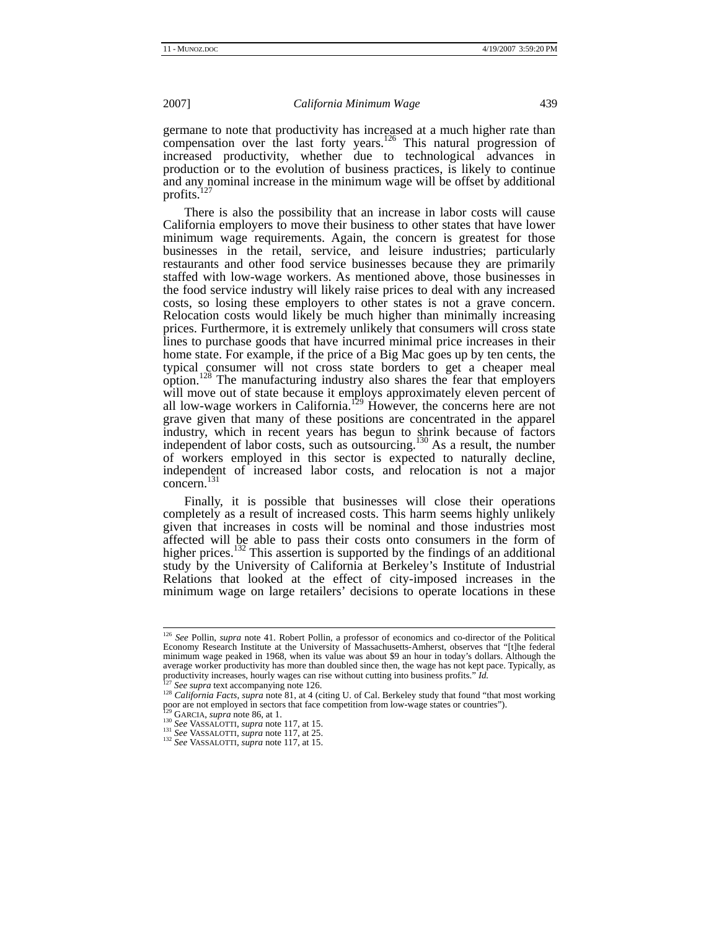germane to note that productivity has increased at a much higher rate than compensation over the last forty years.<sup>126</sup> This natural progression of increased productivity, whether due to technological advances in production or to the evolution of business practices, is likely to continue and any nominal increase in the minimum wage will be offset by additional profits.<sup>1</sup>

There is also the possibility that an increase in labor costs will cause California employers to move their business to other states that have lower minimum wage requirements. Again, the concern is greatest for those businesses in the retail, service, and leisure industries; particularly restaurants and other food service businesses because they are primarily staffed with low-wage workers. As mentioned above, those businesses in the food service industry will likely raise prices to deal with any increased costs, so losing these employers to other states is not a grave concern. Relocation costs would likely be much higher than minimally increasing prices. Furthermore, it is extremely unlikely that consumers will cross state lines to purchase goods that have incurred minimal price increases in their home state. For example, if the price of a Big Mac goes up by ten cents, the typical consumer will not cross state borders to get a cheaper meal option.<sup>128</sup> The manufacturing industry also shares the fear that employers will move out of state because it employs approximately eleven percent of all low-wage workers in California.<sup>129</sup> However, the concerns here are not grave given that many of these positions are concentrated in the apparel industry, which in recent years has begun to shrink because of factors independent of labor costs, such as outsourcing.<sup>130</sup> As a result, the number of workers employed in this sector is expected to naturally decline, independent of increased labor costs, and relocation is not a major concern.131

Finally, it is possible that businesses will close their operations completely as a result of increased costs. This harm seems highly unlikely given that increases in costs will be nominal and those industries most affected will be able to pass their costs onto consumers in the form of higher prices.<sup>132</sup> This assertion is supported by the findings of an additional study by the University of California at Berkeley's Institute of Industrial Relations that looked at the effect of city-imposed increases in the minimum wage on large retailers' decisions to operate locations in these

 <sup>126</sup> *See* Pollin, *supra* note 41. Robert Pollin, a professor of economics and co-director of the Political Economy Research Institute at the University of Massachusetts-Amherst, observes that "[t]he federal minimum wage peaked in 1968, when its value was about \$9 an hour in today's dollars. Although the average worker productivity has more than doubled since then, the wage has not kept pace. Typically, as productivity increases, hourly wages can rise without cutting into business profits." *Id.* 

<sup>&</sup>lt;sup>127</sup> See supra text accompanying note 126.<br><sup>128</sup> California Facts, supra note 81, at 4 (citing U. of Cal. Berkeley study that found "that most working poor are not employed in sectors that face competition from low-wage states or countries").<br><sup>129</sup> GARCIA, *supra* note 86, at 1.<br><sup>130</sup> See VASSALOTTI, *supra* note 117, at 15.<br><sup>131</sup> See VASSALOTTI, *supra* note 117, at 25.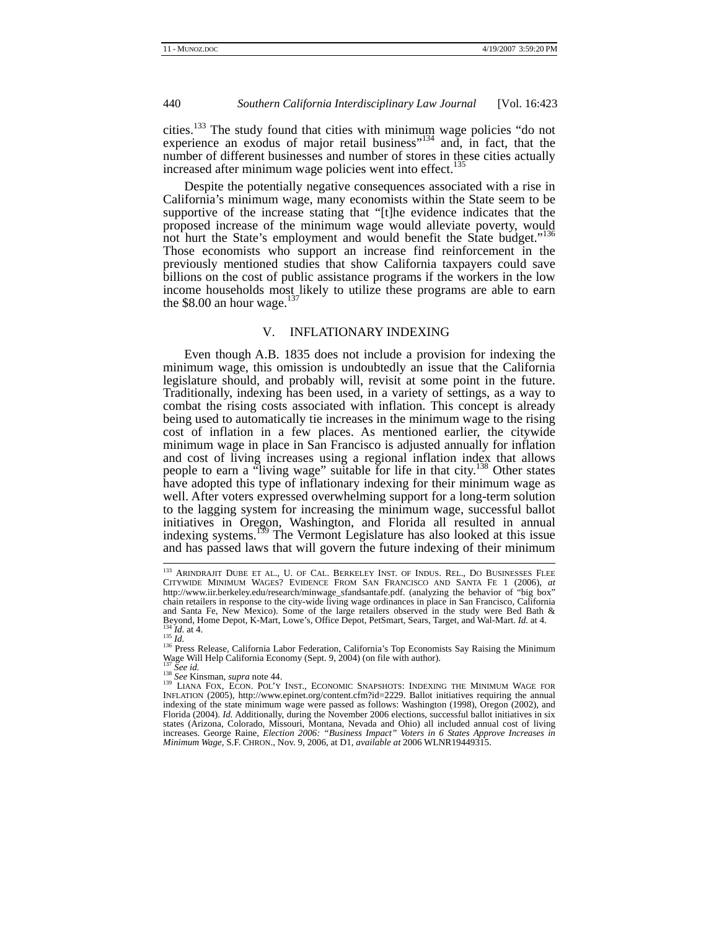cities.<sup>133</sup> The study found that cities with minimum wage policies "do not experience an exodus of major retail business"<sup>134</sup> and, in fact, that the number of different businesses and number of stores in these cities actually increased after minimum wage policies went into effect.<sup>135</sup>

Despite the potentially negative consequences associated with a rise in California's minimum wage, many economists within the State seem to be supportive of the increase stating that "[t]he evidence indicates that the proposed increase of the minimum wage would alleviate poverty, would not hurt the State's employment and would benefit the State budget."<sup>136</sup> Those economists who support an increase find reinforcement in the previously mentioned studies that show California taxpayers could save billions on the cost of public assistance programs if the workers in the low income households most likely to utilize these programs are able to earn the \$8.00 an hour wage. $137$ 

# V. INFLATIONARY INDEXING

Even though A.B. 1835 does not include a provision for indexing the minimum wage, this omission is undoubtedly an issue that the California legislature should, and probably will, revisit at some point in the future. Traditionally, indexing has been used, in a variety of settings, as a way to combat the rising costs associated with inflation. This concept is already being used to automatically tie increases in the minimum wage to the rising cost of inflation in a few places. As mentioned earlier, the citywide minimum wage in place in San Francisco is adjusted annually for inflation and cost of living increases using a regional inflation index that allows people to earn a "living wage" suitable for life in that city.<sup>138</sup> Other states have adopted this type of inflationary indexing for their minimum wage as well. After voters expressed overwhelming support for a long-term solution to the lagging system for increasing the minimum wage, successful ballot initiatives in Oregon, Washington, and Florida all resulted in annual indexing systems.139 The Vermont Legislature has also looked at this issue and has passed laws that will govern the future indexing of their minimum

 <sup>133</sup> ARINDRAJIT DUBE ET AL., U. OF CAL. BERKELEY INST. OF INDUS. REL., DO BUSINESSES FLEE CITYWIDE MINIMUM WAGES? EVIDENCE FROM SAN FRANCISCO AND SANTA FE 1 (2006), *at* http://www.iir.berkeley.edu/research/minwage\_sfandsantafe.pdf. (analyzing the behavior of "big box" chain retailers in response to the city-wide living wage ordinances in place in San Francisco, California and Santa Fe, New Mexico). Some of the large retailers observed in the study were Bed Bath & Beyond, Home Depot, K-Mart, Lowe's, Office Depot, PetSmart, Sears, Target, and Wal-Mart. Id. at 4.<br>
<sup>134</sup> Id. at 4.<br>
<sup>135</sup> Id.<br>
<sup>136</sup> Press Release, California Labor Federation, California's Top Economists Say Raising the

Wage Will Help California Economy (Sept. 9, 2004) (on file with author).<br><sup>137</sup> See Kinsman, *supra* note 44.<br><sup>138</sup> LIANA FOX, ECON. POL'Y INST., ECONOMIC SNAPSHOTS: INDEXING THE MINIMUM WAGE FOR<br>INFLATION (2005), http://ww indexing of the state minimum wage were passed as follows: Washington (1998), Oregon (2002), and Florida (2004). *Id.* Additionally, during the November 2006 elections, successful ballot initiatives in six states (Arizona, Colorado, Missouri, Montana, Nevada and Ohio) all included annual cost of living increases. George Raine, *Election 2006: "Business Impact" Voters in 6 States Approve Increases in Minimum Wage*, S.F. CHRON., Nov. 9, 2006, at D1, *available at* 2006 WLNR19449315.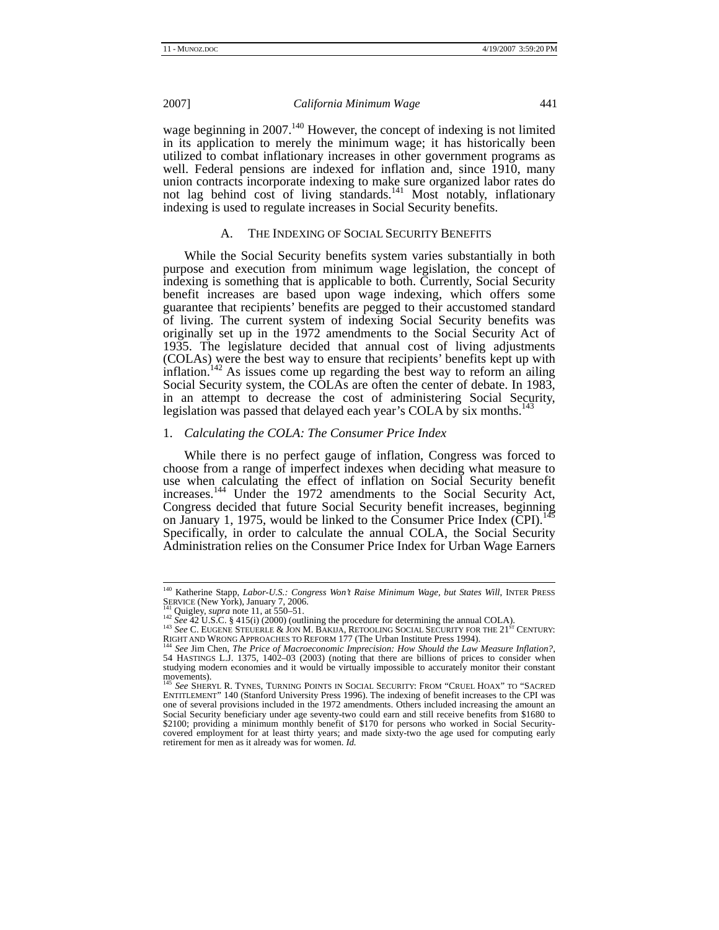wage beginning in 2007.<sup>140</sup> However, the concept of indexing is not limited in its application to merely the minimum wage; it has historically been utilized to combat inflationary increases in other government programs as well. Federal pensions are indexed for inflation and, since 1910, many union contracts incorporate indexing to make sure organized labor rates do not lag behind cost of living standards.<sup>141</sup> Most notably, inflationary indexing is used to regulate increases in Social Security benefits.

# A. THE INDEXING OF SOCIAL SECURITY BENEFITS

While the Social Security benefits system varies substantially in both purpose and execution from minimum wage legislation, the concept of indexing is something that is applicable to both. Currently, Social Security benefit increases are based upon wage indexing, which offers some guarantee that recipients' benefits are pegged to their accustomed standard of living. The current system of indexing Social Security benefits was originally set up in the 1972 amendments to the Social Security Act of 1935. The legislature decided that annual cost of living adjustments (COLAs) were the best way to ensure that recipients' benefits kept up with inflation.<sup>142</sup> As issues come up regarding the best way to reform an ailing Social Security system, the COLAs are often the center of debate. In 1983, in an attempt to decrease the cost of administering Social Security, legislation was passed that delayed each year's COLA by six months.<sup>1</sup>

#### 1. *Calculating the COLA: The Consumer Price Index*

While there is no perfect gauge of inflation, Congress was forced to choose from a range of imperfect indexes when deciding what measure to use when calculating the effect of inflation on Social Security benefit increases.<sup>144</sup> Under the 1972 amendments to the Social Security Act, Congress decided that future Social Security benefit increases, beginning on January 1, 1975, would be linked to the Consumer Price Index (CPI).<sup>145</sup> Specifically, in order to calculate the annual COLA, the Social Security Administration relies on the Consumer Price Index for Urban Wage Earners

<sup>&</sup>lt;sup>140</sup> Katherine Stapp, *Labor-U.S.: Congress Won't Raise Minimum Wage, but States Will*, INTER PRESS

SERVICE (New York), January 7, 2006.<br>
<sup>141</sup> Quigley, *supra* note 11, at 550–51.<br>
<sup>142</sup> See 42 U.S.C. § 415(i) (2000) (outlining the procedure for determining the annual COLA).<br>
<sup>142</sup> See 42 U.S.C. § 415(i) (2000) (outlin

<sup>54</sup> HASTINGS L.J. 1375, 1402–03 (2003) (noting that there are billions of prices to consider when studying modern economies and it would be virtually impossible to accurately monitor their constant movements).

<sup>&</sup>lt;sup>145</sup> See SHERYL R. TYNES, TURNING POINTS IN SOCIAL SECURITY: FROM "CRUEL HOAX" TO "SACRED<br>ENTITLEMENT" 140 (Stanford University Press 1996). The indexing of benefit increases to the CPI was one of several provisions included in the 1972 amendments. Others included increasing the amount an Social Security beneficiary under age seventy-two could earn and still receive benefits from \$1680 to \$2100; providing a minimum monthly benefit of \$170 for persons who worked in Social Securitycovered employment for at least thirty years; and made sixty-two the age used for computing early retirement for men as it already was for women. *Id.*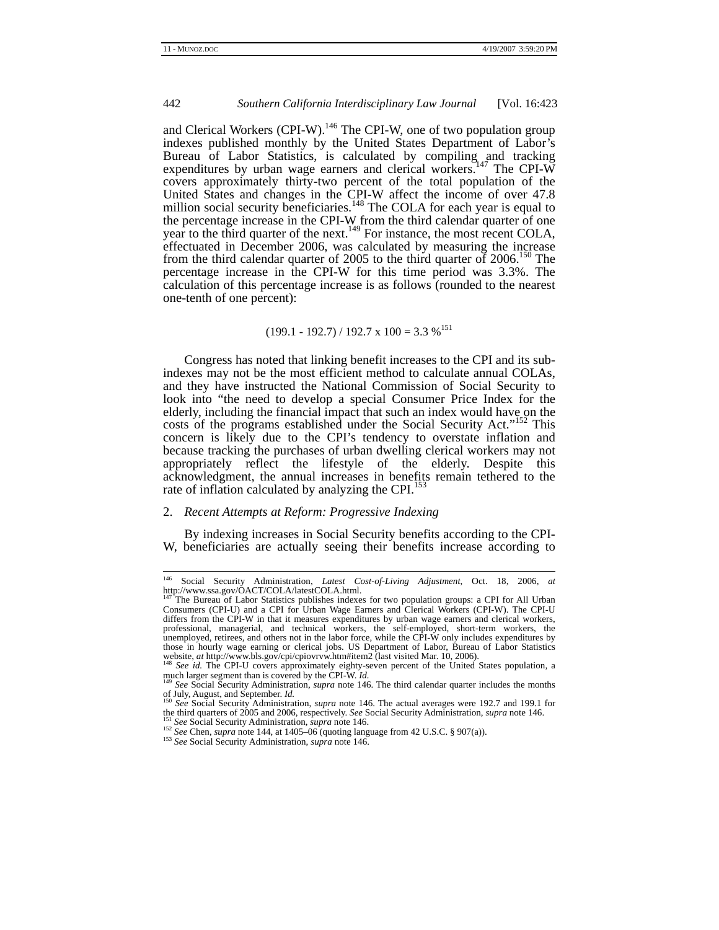and Clerical Workers (CPI-W).<sup>146</sup> The CPI-W, one of two population group indexes published monthly by the United States Department of Labor's Bureau of Labor Statistics, is calculated by compiling and tracking expenditures by urban wage earners and clerical workers.<sup>9147</sup> The CPI-W covers approximately thirty-two percent of the total population of the United States and changes in the CPI-W affect the income of over 47.8 million social security beneficiaries.<sup>148</sup> The COLA for each year is equal to the percentage increase in the CPI-W from the third calendar quarter of one year to the third quarter of the next.<sup>149</sup> For instance, the most recent COLA, effectuated in December 2006, was calculated by measuring the increase from the third calendar quarter of 2005 to the third quarter of  $2006$ .<sup>150</sup> The percentage increase in the CPI-W for this time period was 3.3%. The calculation of this percentage increase is as follows (rounded to the nearest one-tenth of one percent):

# $(199.1 - 192.7) / 192.7 \times 100 = 3.3 \%$ <sup>151</sup>

Congress has noted that linking benefit increases to the CPI and its subindexes may not be the most efficient method to calculate annual COLAs, and they have instructed the National Commission of Social Security to look into "the need to develop a special Consumer Price Index for the elderly, including the financial impact that such an index would have on the costs of the programs established under the Social Security Act."<sup>152</sup> This concern is likely due to the CPI's tendency to overstate inflation and because tracking the purchases of urban dwelling clerical workers may not appropriately reflect the lifestyle of the elderly. Despite this acknowledgment, the annual increases in benefits remain tethered to the rate of inflation calculated by analyzing the CPI.<sup>153</sup>

# 2. *Recent Attempts at Reform: Progressive Indexing*

By indexing increases in Social Security benefits according to the CPI-W, beneficiaries are actually seeing their benefits increase according to

 <sup>146</sup> Social Security Administration, *Latest Cost-of-Living Adjustment*, Oct. 18, 2006, *at*  http://www.ssa.gov/OACT/COLA/latestCOLA.html.

The Bureau of Labor Statistics publishes indexes for two population groups: a CPI for All Urban Consumers (CPI-U) and a CPI for Urban Wage Earners and Clerical Workers (CPI-W). The CPI-U differs from the CPI-W in that it measures expenditures by urban wage earners and clerical workers, professional, managerial, and technical workers, the self-employed, short-term workers, the unemployed, retirees, and others not in the labor force, while the CPI-W only includes expenditures by those in hourly wage earning or clerical jobs. US Department of Labor, Bureau of Labor Statistics website, *at* http://www.bls.gov/cpi/cpiovrvw.htm#item2 (last visited Mar. 10, 2006).<br><sup>148</sup> *See id.* The CPI-U covers approximately eighty-seven percent of the United States population, a

much larger segment than is covered by the CPI-W. *Id.*<br><sup>149</sup> *See* Social Security Administration, *supra* note 146. The third calendar quarter includes the months

of July, August, and September. *Id.* <sup>150</sup> *See* Social Security Administration, *supra* note 146. The actual averages were 192.7 and 199.1 for the third quarters of 2005 and 2006, respectively. *See* Social Security Admi

<sup>&</sup>lt;sup>151</sup> See Social Security Administration, *supra* note 146.<br><sup>152</sup> See Chen, *supra* note 144, at 1405–06 (quoting language from 42 U.S.C. § 907(a)).<br><sup>153</sup> See Social Security Administration, *supra* note 146.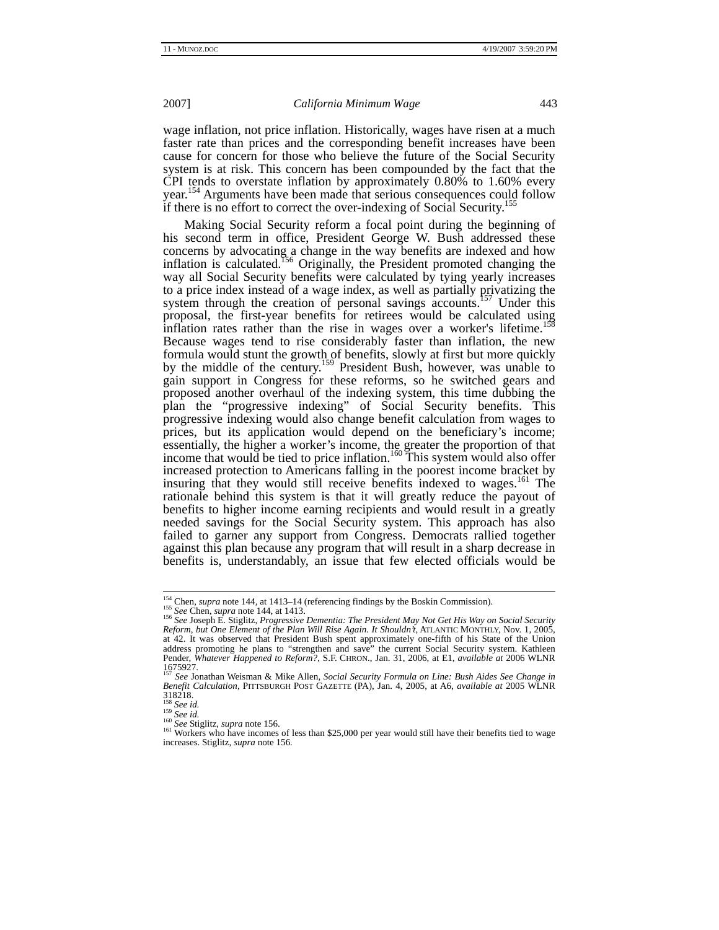wage inflation, not price inflation. Historically, wages have risen at a much faster rate than prices and the corresponding benefit increases have been cause for concern for those who believe the future of the Social Security system is at risk. This concern has been compounded by the fact that the CPI tends to overstate inflation by approximately 0.80% to 1.60% every year.<sup>154</sup> Arguments have been made that serious consequences could follow if there is no effort to correct the over-indexing of Social Security.<sup>1</sup>

Making Social Security reform a focal point during the beginning of his second term in office, President George W. Bush addressed these concerns by advocating a change in the way benefits are indexed and how inflation is calculated.<sup>156</sup> Originally, the President promoted changing the way all Social Security benefits were calculated by tying yearly increases to a price index instead of a wage index, as well as partially privatizing the system through the creation of personal savings accounts.<sup>157</sup> Under this system unough the creation of personal proposal, the first-year benefits for retirees would be calculated using inflation rates rather than the rise in wages over a worker's lifetime.<sup>1</sup> Because wages tend to rise considerably faster than inflation, the new formula would stunt the growth of benefits, slowly at first but more quickly by the middle of the century.<sup>159</sup> President Bush, however, was unable to gain support in Congress for these reforms, so he switched gears and proposed another overhaul of the indexing system, this time dubbing the plan the "progressive indexing" of Social Security benefits. This progressive indexing would also change benefit calculation from wages to prices, but its application would depend on the beneficiary's income; essentially, the higher a worker's income, the greater the proportion of that income that would be tied to price inflation.<sup>160</sup> This system would also offer increased protection to Americans falling in the poorest income bracket by insuring that they would still receive benefits indexed to wages.<sup>161</sup> The rationale behind this system is that it will greatly reduce the payout of benefits to higher income earning recipients and would result in a greatly needed savings for the Social Security system. This approach has also failed to garner any support from Congress. Democrats rallied together against this plan because any program that will result in a sharp decrease in benefits is, understandably, an issue that few elected officials would be

<sup>&</sup>lt;sup>154</sup> Chen, *supra* note 144, at 1413–14 (referencing findings by the Boskin Commission).<br><sup>155</sup> See Chen, *supra* note 144, at 1413.<br><sup>156</sup> See Joseph E. Stiglitz, *Progressive Dementia: The President May Not Get His Way o Reform, but One Element of the Plan Will Rise Again. It Shouldn't*, ATLANTIC MONTHLY, Nov. 1, 2005, at 42. It was observed that President Bush spent approximately one-fifth of his State of the Union address promoting he plans to "strengthen and save" the current Social Security system. Kathleen Pender, *Whatever Happened to Reform?*, S.F. CHRON., Jan. 31, 2006, at E1, *available at* 2006 WLNR  $1675927.$ 

<sup>157</sup> *See* Jonathan Weisman & Mike Allen, *Social Security Formula on Line: Bush Aides See Change in Benefit Calculation,* PITTSBURGH POST GAZETTE (PA), Jan. 4, 2005, at A6, *available at* 2005 WLNR  $318218.$ <sup>158</sup> See id.

<sup>158</sup> *See id.* <sup>159</sup> *See id.*<sup>160</sup> *See* Stiglitz, *supra* note 156. 161 Workers who have incomes of less than \$25,000 per year would still have their benefits tied to wage increases. Stiglitz, *supra* note 156*.*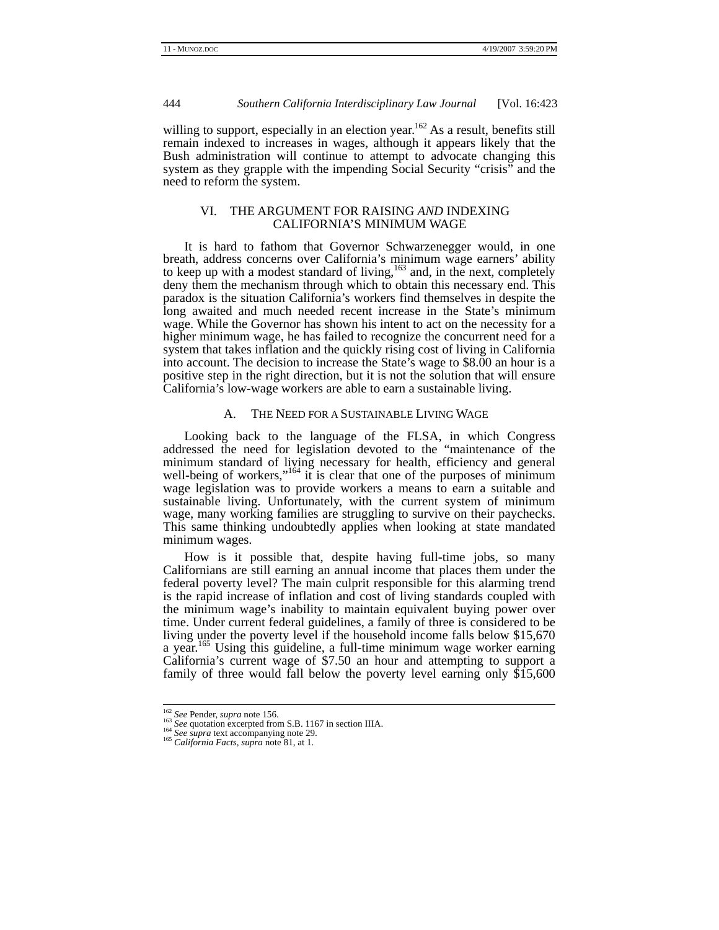willing to support, especially in an election year.<sup>162</sup> As a result, benefits still remain indexed to increases in wages, although it appears likely that the Bush administration will continue to attempt to advocate changing this system as they grapple with the impending Social Security "crisis" and the need to reform the system.

# VI. THE ARGUMENT FOR RAISING *AND* INDEXING CALIFORNIA'S MINIMUM WAGE

It is hard to fathom that Governor Schwarzenegger would, in one breath, address concerns over California's minimum wage earners' ability to keep up with a modest standard of living,<sup>163</sup> and, in the next, completely deny them the mechanism through which to obtain this necessary end. This paradox is the situation California's workers find themselves in despite the long awaited and much needed recent increase in the State's minimum wage. While the Governor has shown his intent to act on the necessity for a higher minimum wage, he has failed to recognize the concurrent need for a system that takes inflation and the quickly rising cost of living in California into account. The decision to increase the State's wage to \$8.00 an hour is a positive step in the right direction, but it is not the solution that will ensure California's low-wage workers are able to earn a sustainable living.

# A. THE NEED FOR A SUSTAINABLE LIVING WAGE

Looking back to the language of the FLSA, in which Congress addressed the need for legislation devoted to the "maintenance of the minimum standard of living necessary for health, efficiency and general well-being of workers," $164$  it is clear that one of the purposes of minimum wage legislation was to provide workers a means to earn a suitable and sustainable living. Unfortunately, with the current system of minimum wage, many working families are struggling to survive on their paychecks. This same thinking undoubtedly applies when looking at state mandated minimum wages.

How is it possible that, despite having full-time jobs, so many Californians are still earning an annual income that places them under the federal poverty level? The main culprit responsible for this alarming trend is the rapid increase of inflation and cost of living standards coupled with the minimum wage's inability to maintain equivalent buying power over time. Under current federal guidelines, a family of three is considered to be living under the poverty level if the household income falls below \$15,670 a year.<sup>165</sup> Using this guideline, a full-time minimum wage worker earning California's current wage of \$7.50 an hour and attempting to support a family of three would fall below the poverty level earning only \$15,600

<sup>&</sup>lt;sup>162</sup> *See* Pender, *supra* note 156.<br><sup>163</sup> *See* quotation excerpted from S.B. 1167 in section IIIA.<br><sup>164</sup> *See supra* text accompanying note 29.<br><sup>165</sup> *California Facts*, *supra* note 81, at 1.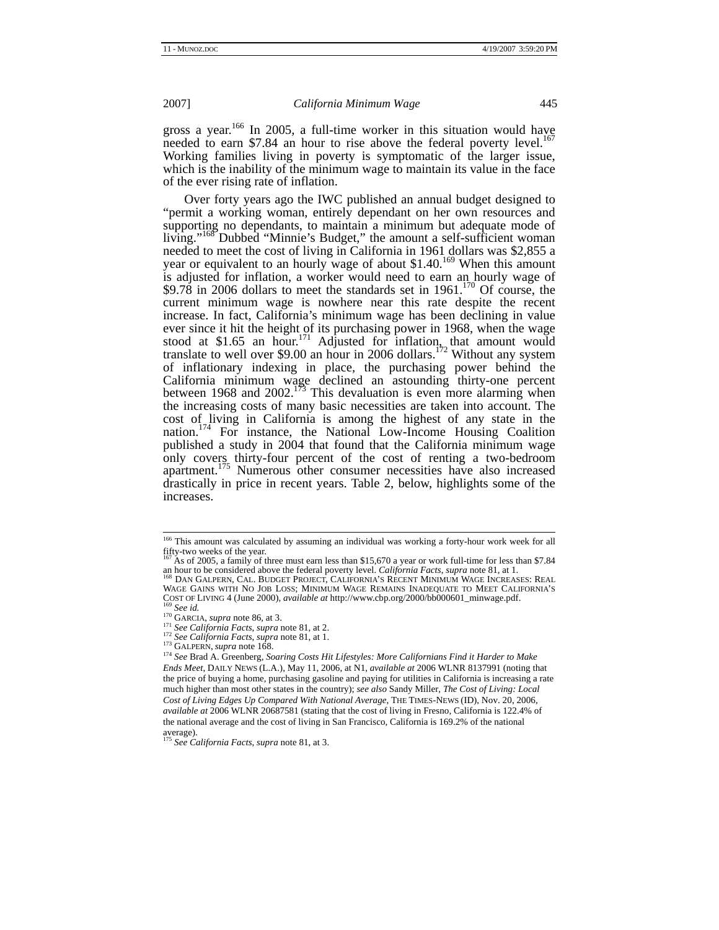gross a year.<sup>166</sup> In 2005, a full-time worker in this situation would have needed to earn \$7.84 an hour to rise above the federal poverty level.<sup>167</sup> Working families living in poverty is symptomatic of the larger issue, which is the inability of the minimum wage to maintain its value in the face of the ever rising rate of inflation.

Over forty years ago the IWC published an annual budget designed to "permit a working woman, entirely dependant on her own resources and supporting no dependants, to maintain a minimum but adequate mode of living."<sup>168</sup> Dubbed "Minnie's Budget," the amount a self-sufficient woman needed to meet the cost of living in California in 1961 dollars was \$2,855 a year or equivalent to an hourly wage of about \$1.40.<sup>169</sup> When this amount is adjusted for inflation, a worker would need to earn an hourly wage of \$9.78 in 2006 dollars to meet the standards set in  $1961$ .<sup>170</sup> Of course, the current minimum wage is nowhere near this rate despite the recent increase. In fact, California's minimum wage has been declining in value ever since it hit the height of its purchasing power in 1968, when the wage stood at \$1.65 an hour.<sup>171</sup> Adjusted for inflation, that amount would translate to well over \$9.00 an hour in 2006 dollars.<sup>172</sup> Without any system of inflationary indexing in place, the purchasing power behind the California minimum wage declined an astounding thirty-one percent between 1968 and 2002.<sup>173</sup> This devaluation is even more alarming when the increasing costs of many basic necessities are taken into account. The cost of living in California is among the highest of any state in the nation.<sup>174</sup> For instance, the National Low-Income Housing Coalition published a study in 2004 that found that the California minimum wage only covers thirty-four percent of the cost of renting a two-bedroom apartment.<sup>175</sup> Numerous other consumer necessities have also increased drastically in price in recent years. Table 2, below, highlights some of the increases.

<sup>&</sup>lt;sup>166</sup> This amount was calculated by assuming an individual was working a forty-hour work week for all fifty-two weeks of the year.

<sup>&</sup>lt;sup>167</sup> As of 2005, a family of three must earn less than \$15,670 a year or work full-time for less than \$7.84 an hour to be considered above the federal poverty level. *California Facts, supra* note 81, at 1. an hour to be considered above the federal poverty level. *California Facts*, *supra* note 81, at 1. 168 DAN GALPERN, CAL. BUDGET PROJECT, CALIFORNIA'S RECENT MINIMUM WAGE INCREASES: REAL

WAGE GAINS WITH NO JOB LOSS; MINIMUM WAGE REMAINS INADEQUATE TO MEET CALIFORNIA'S COST OF LIVING 4 (June 2000), *available at* http://www.cbp.org/2000/bb000601\_minwage.pdf.

<sup>&</sup>lt;sup>169</sup> See id.<br><sup>171</sup> GARCIA, *supra* note 86, at 3.<br><sup>171</sup> See California Facts, supra note 81, at 2.<br><sup>172</sup> See California Facts, supra note 81, at 1.<br><sup>173</sup> GALPERN, supra note 168.<br><sup>174</sup> See Brad A. Greenberg, Soaring Costs *Ends Meet*, DAILY NEWS (L.A.), May 11, 2006, at N1, *available at* 2006 WLNR 8137991 (noting that the price of buying a home, purchasing gasoline and paying for utilities in California is increasing a rate much higher than most other states in the country); *see also* Sandy Miller, *The Cost of Living: Local Cost of Living Edges Up Compared With National Average*, THE TIMES-NEWS (ID), Nov. 20, 2006, *available at* 2006 WLNR 20687581 (stating that the cost of living in Fresno, California is 122.4% of the national average and the cost of living in San Francisco, California is 169.2% of the national average).

<sup>175</sup> *See California Facts*, *supra* note 81, at 3.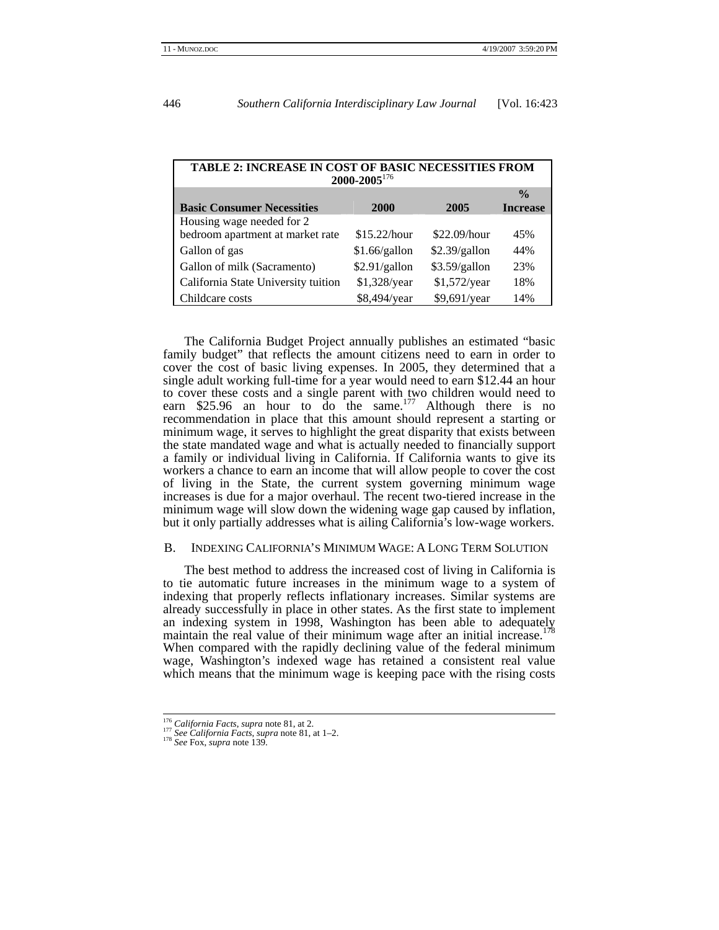| <b>TABLE 2: INCREASE IN COST OF BASIC NECESSITIES FROM</b><br>2000-2005 <sup>176</sup> |               |               |                 |  |
|----------------------------------------------------------------------------------------|---------------|---------------|-----------------|--|
|                                                                                        |               |               | $\frac{0}{0}$   |  |
| <b>Basic Consumer Necessities</b>                                                      | 2000          | 2005          | <b>Increase</b> |  |
| Housing wage needed for 2                                                              |               |               |                 |  |
| bedroom apartment at market rate                                                       | \$15.22/hour  | \$22.09/hour  | 45%             |  |
| Gallon of gas                                                                          | \$1.66/gallon | \$2.39/gallon | 44%             |  |
| Gallon of milk (Sacramento)                                                            | \$2.91/gallon | \$3.59/gallon | 23%             |  |
| California State University tuition                                                    | \$1,328/year  | \$1,572/year  | 18%             |  |
| Childcare costs                                                                        | \$8,494/year  | \$9,691/year  | 14%             |  |

The California Budget Project annually publishes an estimated "basic family budget" that reflects the amount citizens need to earn in order to cover the cost of basic living expenses. In 2005, they determined that a single adult working full-time for a year would need to earn \$12.44 an hour to cover these costs and a single parent with two children would need to earn \$25.96 an hour to  $\overline{d}$  o the same.<sup>177</sup> Although there is no recommendation in place that this amount should represent a starting or minimum wage, it serves to highlight the great disparity that exists between the state mandated wage and what is actually needed to financially support a family or individual living in California. If California wants to give its workers a chance to earn an income that will allow people to cover the cost of living in the State, the current system governing minimum wage increases is due for a major overhaul. The recent two-tiered increase in the minimum wage will slow down the widening wage gap caused by inflation, but it only partially addresses what is ailing California's low-wage workers.

#### B. INDEXING CALIFORNIA'S MINIMUM WAGE: A LONG TERM SOLUTION

The best method to address the increased cost of living in California is to tie automatic future increases in the minimum wage to a system of indexing that properly reflects inflationary increases. Similar systems are already successfully in place in other states. As the first state to implement an indexing system in 1998, Washington has been able to adequately maintain the real value of their minimum wage after an initial increase.<sup>178</sup> When compared with the rapidly declining value of the federal minimum wage, Washington's indexed wage has retained a consistent real value which means that the minimum wage is keeping pace with the rising costs

<sup>176</sup> *California Facts*, *supra* note 81, at 2. 177 *See California Facts*, *supra* note 81, at 1–2. 178 *See* Fox, *supra* note 139.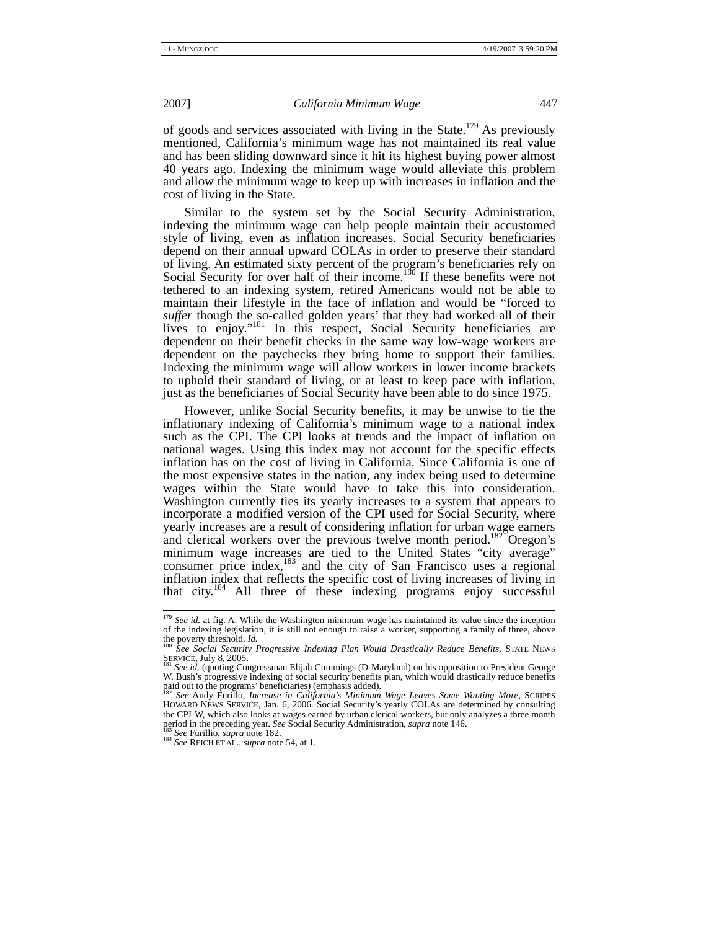of goods and services associated with living in the State.<sup>179</sup> As previously mentioned, California's minimum wage has not maintained its real value and has been sliding downward since it hit its highest buying power almost 40 years ago. Indexing the minimum wage would alleviate this problem and allow the minimum wage to keep up with increases in inflation and the cost of living in the State.

Similar to the system set by the Social Security Administration, indexing the minimum wage can help people maintain their accustomed style of living, even as inflation increases. Social Security beneficiaries depend on their annual upward COLAs in order to preserve their standard of living. An estimated sixty percent of the program's beneficiaries rely on Social Security for over half of their income.<sup>180</sup> If these benefits were not tethered to an indexing system, retired Americans would not be able to maintain their lifestyle in the face of inflation and would be "forced to suffer though the so-called golden years' that they had worked all of their lives to enjoy."<sup>181</sup> In this respect, Social Security beneficiaries are dependent on their benefit checks in the same way low-wage workers are dependent on the paychecks they bring home to support their families. Indexing the minimum wage will allow workers in lower income brackets to uphold their standard of living, or at least to keep pace with inflation, just as the beneficiaries of Social Security have been able to do since 1975.

However, unlike Social Security benefits, it may be unwise to tie the inflationary indexing of California's minimum wage to a national index such as the CPI. The CPI looks at trends and the impact of inflation on national wages. Using this index may not account for the specific effects inflation has on the cost of living in California. Since California is one of the most expensive states in the nation, any index being used to determine wages within the State would have to take this into consideration. Washington currently ties its yearly increases to a system that appears to incorporate a modified version of the CPI used for Social Security, where yearly increases are a result of considering inflation for urban wage earners and clerical workers over the previous twelve month period.<sup>182</sup> Oregon's minimum wage increases are tied to the United States "city average" consumer price index, $^{183}$  and the city of San Francisco uses a regional inflation index that reflects the specific cost of living increases of living in that city.184 All three of these indexing programs enjoy successful

<sup>&</sup>lt;sup>179</sup> See id. at fig. A. While the Washington minimum wage has maintained its value since the inception of the indexing legislation, it is still not enough to raise a worker, supporting a family of three, above

the poverty threshold. *Id.* **180** *See Social Security Progressive Indexing Plan Would Drastically Reduce Benefits***, STATE NEWS SERVICE, July 8, 2005.** 

See id. (quoting Congressman Elijah Cummings (D-Maryland) on his opposition to President George W. Bush's progressive indexing of social security benefits plan, which would drastically reduce benefits paid out to the programs' beneficiaries) (emphasis added).

paid out to the programs' beneficiaries) (emphasis added). <sup>182</sup> *See* Andy Furillo, *Increase in California's Minimum Wage Leaves Some Wanting More*, SCRIPPS HOWARD NEWS SERVICE, Jan. 6, 2006. Social Security's yearly COLAs are determined by consulting the CPI-W, which also looks at wages earned by urban clerical workers, but only analyzes a three month period in the preceding year. *See* Social Security Administration, *supra* note 146. 183 *See* Furillio, *supra* note 182. 184 *See* REICH ET AL., *supra* note 54, at 1.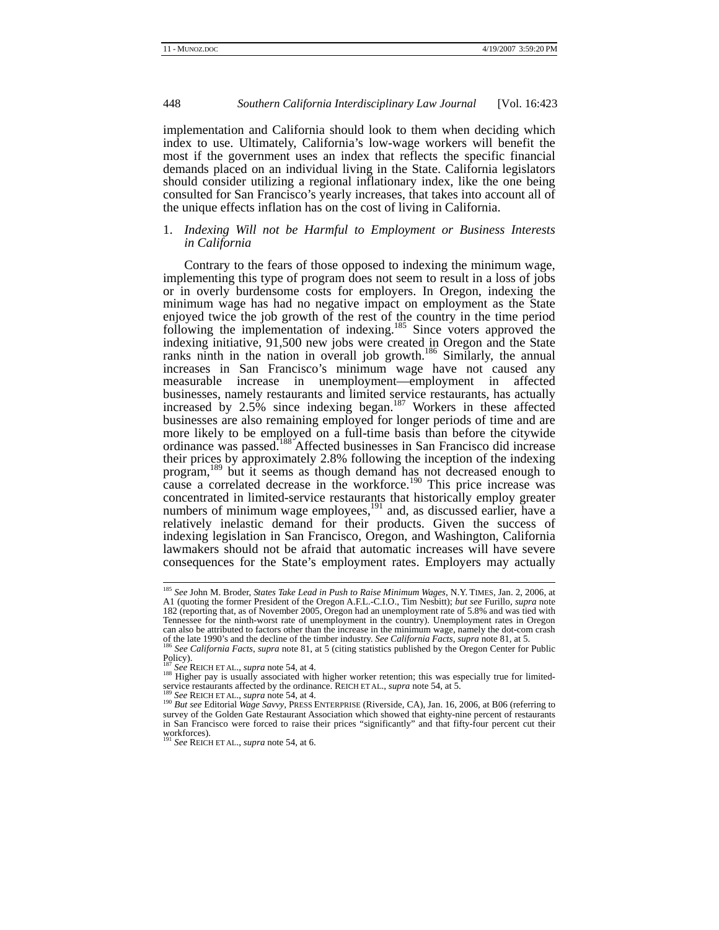implementation and California should look to them when deciding which index to use. Ultimately, California's low-wage workers will benefit the most if the government uses an index that reflects the specific financial demands placed on an individual living in the State. California legislators should consider utilizing a regional inflationary index, like the one being consulted for San Francisco's yearly increases, that takes into account all of the unique effects inflation has on the cost of living in California.

# 1. *Indexing Will not be Harmful to Employment or Business Interests in California*

Contrary to the fears of those opposed to indexing the minimum wage, implementing this type of program does not seem to result in a loss of jobs or in overly burdensome costs for employers. In Oregon, indexing the minimum wage has had no negative impact on employment as the State enjoyed twice the job growth of the rest of the country in the time period following the implementation of indexing.<sup>185</sup> Since voters approved the indexing initiative, 91,500 new jobs were created in Oregon and the State ranks ninth in the nation in overall job growth.<sup>186</sup> Similarly, the annual increases in San Francisco's minimum wage have not caused any measurable increase in unemployment—employment in affected businesses, namely restaurants and limited service restaurants, has actually increased by  $2.5\%$  since indexing began.<sup>187</sup> Workers in these affected businesses are also remaining employed for longer periods of time and are more likely to be employed on a full-time basis than before the citywide ordinance was passed.<sup>188</sup> Affected businesses in San Francisco did increase their prices by approximately 2.8% following the inception of the indexing program,189 but it seems as though demand has not decreased enough to cause a correlated decrease in the workforce.<sup>190</sup> This price increase was concentrated in limited-service restaurants that historically employ greater numbers of minimum wage employees, $^{191}$  and, as discussed earlier, have a relatively inelastic demand for their products. Given the success of indexing legislation in San Francisco, Oregon, and Washington, California lawmakers should not be afraid that automatic increases will have severe consequences for the State's employment rates. Employers may actually

 <sup>185</sup> *See* John M. Broder, *States Take Lead in Push to Raise Minimum Wages*, N.Y. TIMES, Jan. 2, 2006, at A1 (quoting the former President of the Oregon A.F.L.-C.I.O., Tim Nesbitt); *but see* Furillo, *supra* note 182 (reporting that, as of November 2005, Oregon had an unemployment rate of 5.8% and was tied with Tennessee for the ninth-worst rate of unemployment in the country). Unemployment rates in Oregon can also be attributed to factors other than the increase in the minimum wage, namely the dot-com crash For the late 1990's and the decline of the timber industry. See California Facts, supra note 81, at 5.<br><sup>186</sup> See California Facts, supra note 81, at 5 (citing statistics published by the Oregon Center for Public

Policy).<br><sup>187</sup> See REICH ET AL., *supra* note 54, at 4.

<sup>&</sup>lt;sup>188</sup> Higher pay is usually associated with higher worker retention; this was especially true for limited-<br>service restaurants affected by the ordinance. REICH ET AL., *supra* note 54, at 5.<br><sup>189</sup> See REIGH ET AL.

<sup>&</sup>lt;sup>189</sup> See REICH ET AL., *supra* note 54, at 4.<br><sup>190</sup> But see Editorial Wage Savvy, PRESS ENTERPRISE (Riverside, CA), Jan. 16, 2006, at B06 (referring to survey of the Golden Gate Restaurant Association which showed that eighty-nine percent of restaurants in San Francisco were forced to raise their prices "significantly" and that fifty-four percent cut their workforces). <sup>191</sup> *See* REICH ET AL., *supra* note 54, at 6.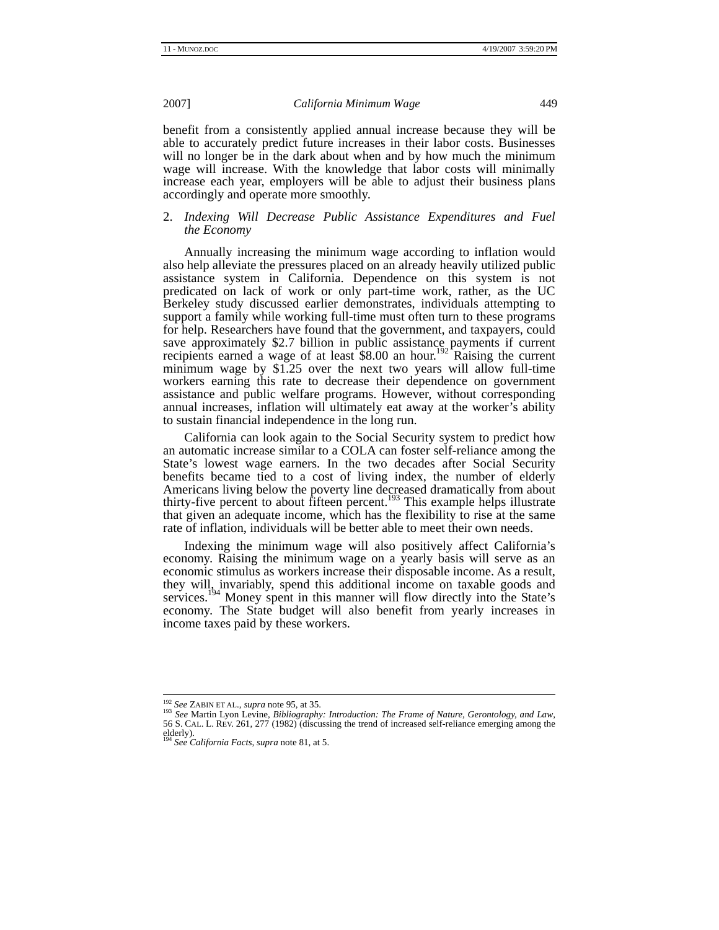benefit from a consistently applied annual increase because they will be able to accurately predict future increases in their labor costs. Businesses will no longer be in the dark about when and by how much the minimum wage will increase. With the knowledge that labor costs will minimally increase each year, employers will be able to adjust their business plans accordingly and operate more smoothly.

# 2. *Indexing Will Decrease Public Assistance Expenditures and Fuel the Economy*

Annually increasing the minimum wage according to inflation would also help alleviate the pressures placed on an already heavily utilized public assistance system in California. Dependence on this system is not predicated on lack of work or only part-time work, rather, as the UC Berkeley study discussed earlier demonstrates, individuals attempting to support a family while working full-time must often turn to these programs for help. Researchers have found that the government, and taxpayers, could save approximately \$2.7 billion in public assistance payments if current recipients earned a wage of at least  $$8.00$  an hour.<sup>192</sup> Raising the current minimum wage by \$1.25 over the next two years will allow full-time workers earning this rate to decrease their dependence on government assistance and public welfare programs. However, without corresponding annual increases, inflation will ultimately eat away at the worker's ability to sustain financial independence in the long run.

California can look again to the Social Security system to predict how an automatic increase similar to a COLA can foster self-reliance among the State's lowest wage earners. In the two decades after Social Security benefits became tied to a cost of living index, the number of elderly Americans living below the poverty line decreased dramatically from about thirty-five percent to about fifteen percent.<sup>193</sup> This example helps illustrate that given an adequate income, which has the flexibility to rise at the same rate of inflation, individuals will be better able to meet their own needs.

Indexing the minimum wage will also positively affect California's economy. Raising the minimum wage on a yearly basis will serve as an economic stimulus as workers increase their disposable income. As a result, they will, invariably, spend this additional income on taxable goods and services.<sup>194</sup> Money spent in this manner will flow directly into the State's economy. The State budget will also benefit from yearly increases in income taxes paid by these workers.

<sup>&</sup>lt;sup>192</sup> See ZABIN ET AL., *supra* note 95, at 35.<br><sup>193</sup> See Martin Lyon Levine, *Bibliography: Introduction: The Frame of Nature, Gerontology, and Law,*<br>56 S. CAL. L. REV. 261, 277 (1982) (discussing the trend of increased elderly).

<sup>&</sup>lt;sup>4</sup> See California Facts, *supra* note 81, at 5.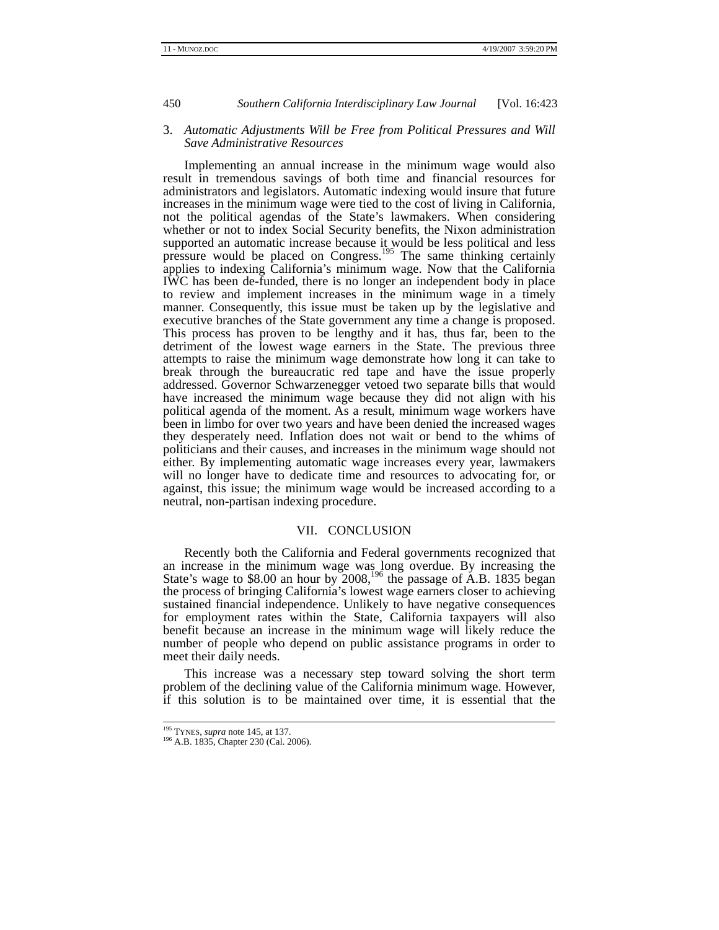### 3. *Automatic Adjustments Will be Free from Political Pressures and Will Save Administrative Resources*

Implementing an annual increase in the minimum wage would also result in tremendous savings of both time and financial resources for administrators and legislators. Automatic indexing would insure that future increases in the minimum wage were tied to the cost of living in California, not the political agendas of the State's lawmakers. When considering whether or not to index Social Security benefits, the Nixon administration supported an automatic increase because it would be less political and less pressure would be placed on Congress.<sup>195</sup> The same thinking certainly applies to indexing California's minimum wage. Now that the California IWC has been de-funded, there is no longer an independent body in place to review and implement increases in the minimum wage in a timely manner. Consequently, this issue must be taken up by the legislative and executive branches of the State government any time a change is proposed. This process has proven to be lengthy and it has, thus far, been to the detriment of the lowest wage earners in the State. The previous three attempts to raise the minimum wage demonstrate how long it can take to break through the bureaucratic red tape and have the issue properly addressed. Governor Schwarzenegger vetoed two separate bills that would have increased the minimum wage because they did not align with his political agenda of the moment. As a result, minimum wage workers have been in limbo for over two years and have been denied the increased wages they desperately need. Inflation does not wait or bend to the whims of politicians and their causes, and increases in the minimum wage should not either. By implementing automatic wage increases every year, lawmakers will no longer have to dedicate time and resources to advocating for, or against, this issue; the minimum wage would be increased according to a neutral, non-partisan indexing procedure.

# VII. CONCLUSION

Recently both the California and Federal governments recognized that an increase in the minimum wage was long overdue. By increasing the State's wage to \$8.00 an hour by  $2008$ ,<sup>196</sup> the passage of A.B. 1835 began the process of bringing California's lowest wage earners closer to achieving sustained financial independence. Unlikely to have negative consequences for employment rates within the State, California taxpayers will also benefit because an increase in the minimum wage will likely reduce the number of people who depend on public assistance programs in order to meet their daily needs.

This increase was a necessary step toward solving the short term problem of the declining value of the California minimum wage. However, if this solution is to be maintained over time, it is essential that the

<sup>&</sup>lt;sup>195</sup> TYNES, *supra* note 145, at 137.<br><sup>196</sup> A.B. 1835, Chapter 230 (Cal. 2006).